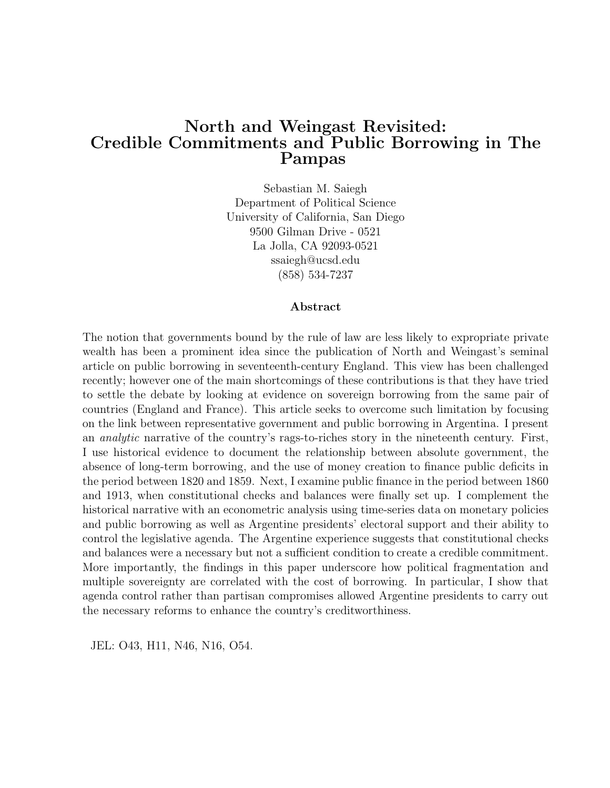## North and Weingast Revisited: Credible Commitments and Public Borrowing in The Pampas

Sebastian M. Saiegh Department of Political Science University of California, San Diego 9500 Gilman Drive - 0521 La Jolla, CA 92093-0521 ssaiegh@ucsd.edu (858) 534-7237

#### Abstract

The notion that governments bound by the rule of law are less likely to expropriate private wealth has been a prominent idea since the publication of North and Weingast's seminal article on public borrowing in seventeenth-century England. This view has been challenged recently; however one of the main shortcomings of these contributions is that they have tried to settle the debate by looking at evidence on sovereign borrowing from the same pair of countries (England and France). This article seeks to overcome such limitation by focusing on the link between representative government and public borrowing in Argentina. I present an analytic narrative of the country's rags-to-riches story in the nineteenth century. First, I use historical evidence to document the relationship between absolute government, the absence of long-term borrowing, and the use of money creation to finance public deficits in the period between 1820 and 1859. Next, I examine public finance in the period between 1860 and 1913, when constitutional checks and balances were finally set up. I complement the historical narrative with an econometric analysis using time-series data on monetary policies and public borrowing as well as Argentine presidents' electoral support and their ability to control the legislative agenda. The Argentine experience suggests that constitutional checks and balances were a necessary but not a sufficient condition to create a credible commitment. More importantly, the findings in this paper underscore how political fragmentation and multiple sovereignty are correlated with the cost of borrowing. In particular, I show that agenda control rather than partisan compromises allowed Argentine presidents to carry out the necessary reforms to enhance the country's creditworthiness.

JEL: O43, H11, N46, N16, O54.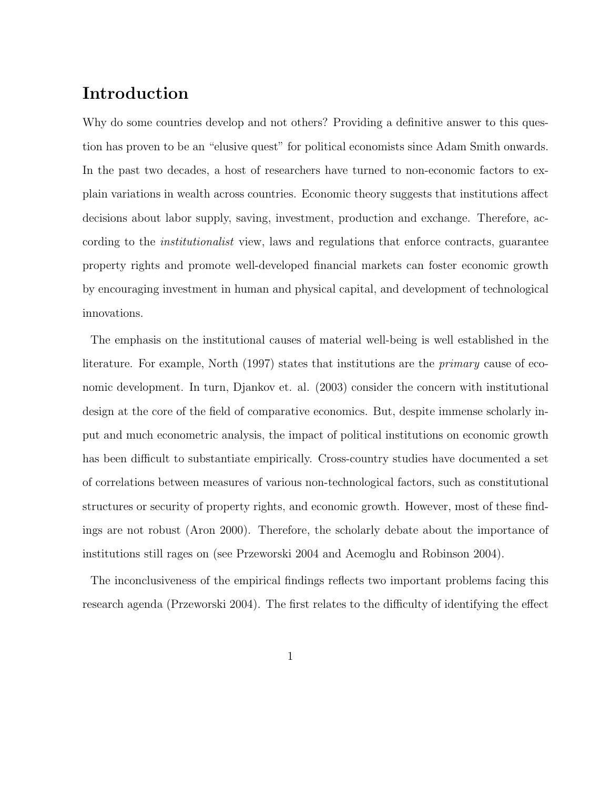### Introduction

Why do some countries develop and not others? Providing a definitive answer to this question has proven to be an "elusive quest" for political economists since Adam Smith onwards. In the past two decades, a host of researchers have turned to non-economic factors to explain variations in wealth across countries. Economic theory suggests that institutions affect decisions about labor supply, saving, investment, production and exchange. Therefore, according to the institutionalist view, laws and regulations that enforce contracts, guarantee property rights and promote well-developed financial markets can foster economic growth by encouraging investment in human and physical capital, and development of technological innovations.

The emphasis on the institutional causes of material well-being is well established in the literature. For example, North (1997) states that institutions are the *primary* cause of economic development. In turn, Djankov et. al. (2003) consider the concern with institutional design at the core of the field of comparative economics. But, despite immense scholarly input and much econometric analysis, the impact of political institutions on economic growth has been difficult to substantiate empirically. Cross-country studies have documented a set of correlations between measures of various non-technological factors, such as constitutional structures or security of property rights, and economic growth. However, most of these findings are not robust (Aron 2000). Therefore, the scholarly debate about the importance of institutions still rages on (see Przeworski 2004 and Acemoglu and Robinson 2004).

The inconclusiveness of the empirical findings reflects two important problems facing this research agenda (Przeworski 2004). The first relates to the difficulty of identifying the effect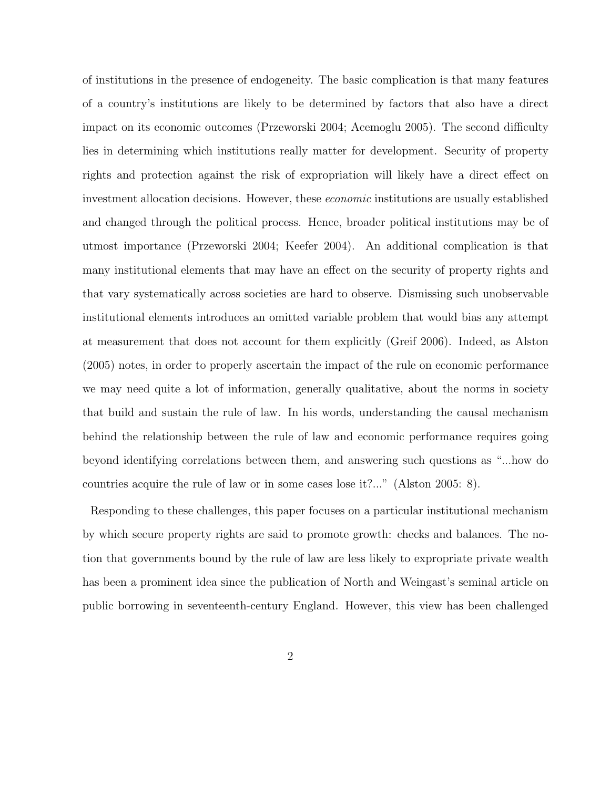of institutions in the presence of endogeneity. The basic complication is that many features of a country's institutions are likely to be determined by factors that also have a direct impact on its economic outcomes (Przeworski 2004; Acemoglu 2005). The second difficulty lies in determining which institutions really matter for development. Security of property rights and protection against the risk of expropriation will likely have a direct effect on investment allocation decisions. However, these economic institutions are usually established and changed through the political process. Hence, broader political institutions may be of utmost importance (Przeworski 2004; Keefer 2004). An additional complication is that many institutional elements that may have an effect on the security of property rights and that vary systematically across societies are hard to observe. Dismissing such unobservable institutional elements introduces an omitted variable problem that would bias any attempt at measurement that does not account for them explicitly (Greif 2006). Indeed, as Alston (2005) notes, in order to properly ascertain the impact of the rule on economic performance we may need quite a lot of information, generally qualitative, about the norms in society that build and sustain the rule of law. In his words, understanding the causal mechanism behind the relationship between the rule of law and economic performance requires going beyond identifying correlations between them, and answering such questions as "...how do countries acquire the rule of law or in some cases lose it?..." (Alston 2005: 8).

Responding to these challenges, this paper focuses on a particular institutional mechanism by which secure property rights are said to promote growth: checks and balances. The notion that governments bound by the rule of law are less likely to expropriate private wealth has been a prominent idea since the publication of North and Weingast's seminal article on public borrowing in seventeenth-century England. However, this view has been challenged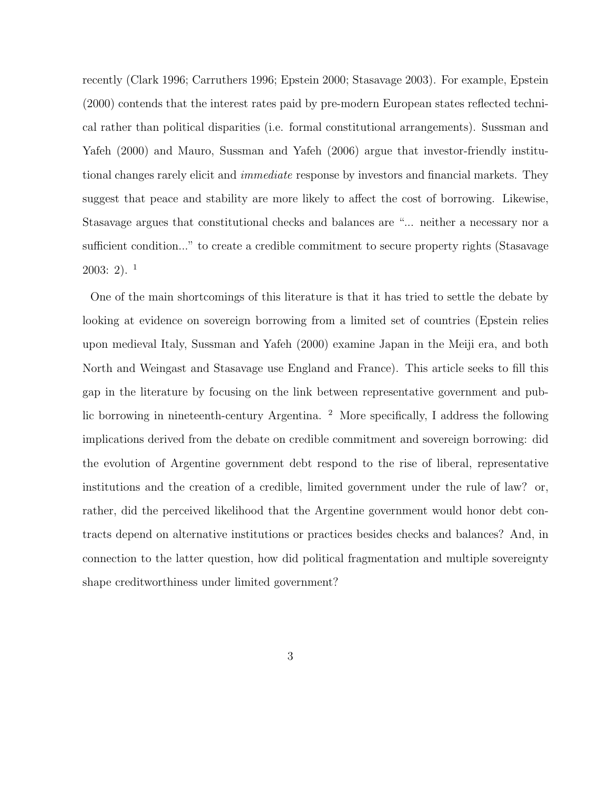recently (Clark 1996; Carruthers 1996; Epstein 2000; Stasavage 2003). For example, Epstein (2000) contends that the interest rates paid by pre-modern European states reflected technical rather than political disparities (i.e. formal constitutional arrangements). Sussman and Yafeh (2000) and Mauro, Sussman and Yafeh (2006) argue that investor-friendly institutional changes rarely elicit and immediate response by investors and financial markets. They suggest that peace and stability are more likely to affect the cost of borrowing. Likewise, Stasavage argues that constitutional checks and balances are "... neither a necessary nor a sufficient condition..." to create a credible commitment to secure property rights (Stasavage  $2003:2$ ).<sup>1</sup>

One of the main shortcomings of this literature is that it has tried to settle the debate by looking at evidence on sovereign borrowing from a limited set of countries (Epstein relies upon medieval Italy, Sussman and Yafeh (2000) examine Japan in the Meiji era, and both North and Weingast and Stasavage use England and France). This article seeks to fill this gap in the literature by focusing on the link between representative government and public borrowing in nineteenth-century Argentina. <sup>2</sup> More specifically, I address the following implications derived from the debate on credible commitment and sovereign borrowing: did the evolution of Argentine government debt respond to the rise of liberal, representative institutions and the creation of a credible, limited government under the rule of law? or, rather, did the perceived likelihood that the Argentine government would honor debt contracts depend on alternative institutions or practices besides checks and balances? And, in connection to the latter question, how did political fragmentation and multiple sovereignty shape creditworthiness under limited government?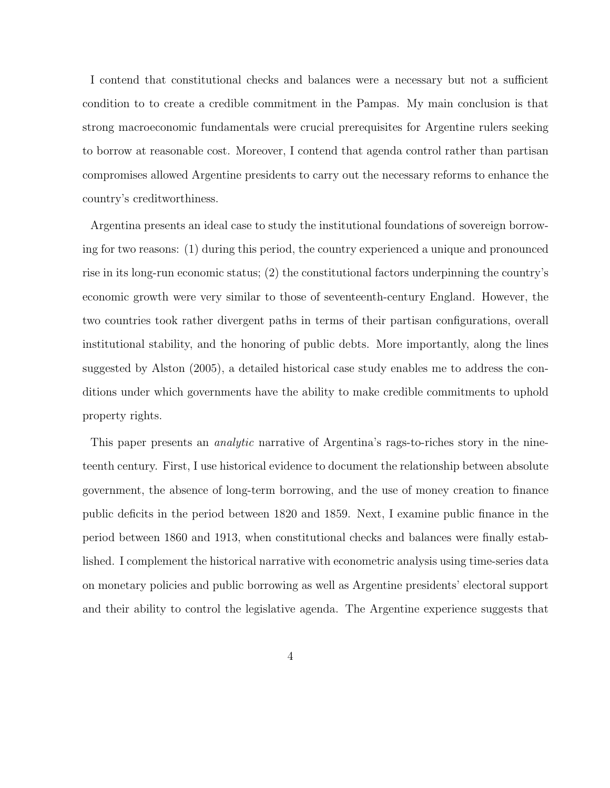I contend that constitutional checks and balances were a necessary but not a sufficient condition to to create a credible commitment in the Pampas. My main conclusion is that strong macroeconomic fundamentals were crucial prerequisites for Argentine rulers seeking to borrow at reasonable cost. Moreover, I contend that agenda control rather than partisan compromises allowed Argentine presidents to carry out the necessary reforms to enhance the country's creditworthiness.

Argentina presents an ideal case to study the institutional foundations of sovereign borrowing for two reasons: (1) during this period, the country experienced a unique and pronounced rise in its long-run economic status; (2) the constitutional factors underpinning the country's economic growth were very similar to those of seventeenth-century England. However, the two countries took rather divergent paths in terms of their partisan configurations, overall institutional stability, and the honoring of public debts. More importantly, along the lines suggested by Alston (2005), a detailed historical case study enables me to address the conditions under which governments have the ability to make credible commitments to uphold property rights.

This paper presents an analytic narrative of Argentina's rags-to-riches story in the nineteenth century. First, I use historical evidence to document the relationship between absolute government, the absence of long-term borrowing, and the use of money creation to finance public deficits in the period between 1820 and 1859. Next, I examine public finance in the period between 1860 and 1913, when constitutional checks and balances were finally established. I complement the historical narrative with econometric analysis using time-series data on monetary policies and public borrowing as well as Argentine presidents' electoral support and their ability to control the legislative agenda. The Argentine experience suggests that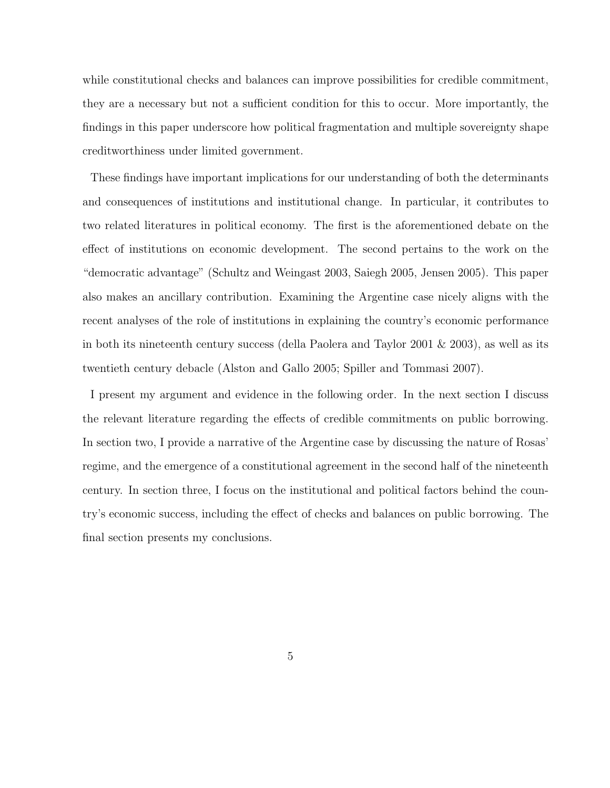while constitutional checks and balances can improve possibilities for credible commitment, they are a necessary but not a sufficient condition for this to occur. More importantly, the findings in this paper underscore how political fragmentation and multiple sovereignty shape creditworthiness under limited government.

These findings have important implications for our understanding of both the determinants and consequences of institutions and institutional change. In particular, it contributes to two related literatures in political economy. The first is the aforementioned debate on the effect of institutions on economic development. The second pertains to the work on the "democratic advantage" (Schultz and Weingast 2003, Saiegh 2005, Jensen 2005). This paper also makes an ancillary contribution. Examining the Argentine case nicely aligns with the recent analyses of the role of institutions in explaining the country's economic performance in both its nineteenth century success (della Paolera and Taylor 2001 & 2003), as well as its twentieth century debacle (Alston and Gallo 2005; Spiller and Tommasi 2007).

I present my argument and evidence in the following order. In the next section I discuss the relevant literature regarding the effects of credible commitments on public borrowing. In section two, I provide a narrative of the Argentine case by discussing the nature of Rosas' regime, and the emergence of a constitutional agreement in the second half of the nineteenth century. In section three, I focus on the institutional and political factors behind the country's economic success, including the effect of checks and balances on public borrowing. The final section presents my conclusions.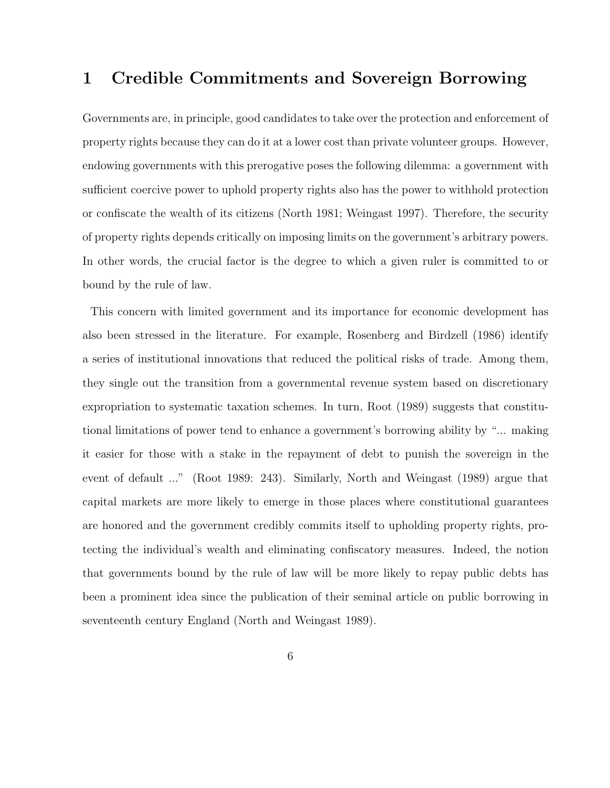## 1 Credible Commitments and Sovereign Borrowing

Governments are, in principle, good candidates to take over the protection and enforcement of property rights because they can do it at a lower cost than private volunteer groups. However, endowing governments with this prerogative poses the following dilemma: a government with sufficient coercive power to uphold property rights also has the power to withhold protection or confiscate the wealth of its citizens (North 1981; Weingast 1997). Therefore, the security of property rights depends critically on imposing limits on the government's arbitrary powers. In other words, the crucial factor is the degree to which a given ruler is committed to or bound by the rule of law.

This concern with limited government and its importance for economic development has also been stressed in the literature. For example, Rosenberg and Birdzell (1986) identify a series of institutional innovations that reduced the political risks of trade. Among them, they single out the transition from a governmental revenue system based on discretionary expropriation to systematic taxation schemes. In turn, Root (1989) suggests that constitutional limitations of power tend to enhance a government's borrowing ability by "... making it easier for those with a stake in the repayment of debt to punish the sovereign in the event of default ..." (Root 1989: 243). Similarly, North and Weingast (1989) argue that capital markets are more likely to emerge in those places where constitutional guarantees are honored and the government credibly commits itself to upholding property rights, protecting the individual's wealth and eliminating confiscatory measures. Indeed, the notion that governments bound by the rule of law will be more likely to repay public debts has been a prominent idea since the publication of their seminal article on public borrowing in seventeenth century England (North and Weingast 1989).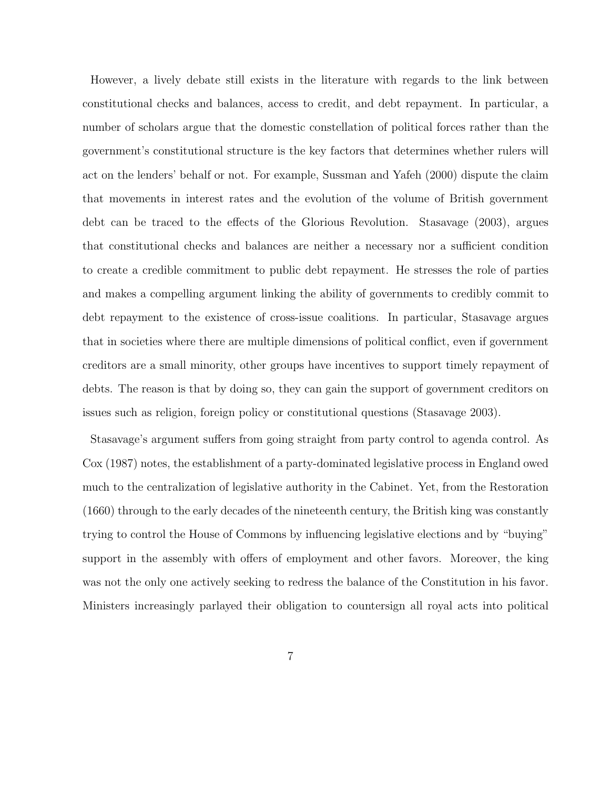However, a lively debate still exists in the literature with regards to the link between constitutional checks and balances, access to credit, and debt repayment. In particular, a number of scholars argue that the domestic constellation of political forces rather than the government's constitutional structure is the key factors that determines whether rulers will act on the lenders' behalf or not. For example, Sussman and Yafeh (2000) dispute the claim that movements in interest rates and the evolution of the volume of British government debt can be traced to the effects of the Glorious Revolution. Stasavage (2003), argues that constitutional checks and balances are neither a necessary nor a sufficient condition to create a credible commitment to public debt repayment. He stresses the role of parties and makes a compelling argument linking the ability of governments to credibly commit to debt repayment to the existence of cross-issue coalitions. In particular, Stasavage argues that in societies where there are multiple dimensions of political conflict, even if government creditors are a small minority, other groups have incentives to support timely repayment of debts. The reason is that by doing so, they can gain the support of government creditors on issues such as religion, foreign policy or constitutional questions (Stasavage 2003).

Stasavage's argument suffers from going straight from party control to agenda control. As Cox (1987) notes, the establishment of a party-dominated legislative process in England owed much to the centralization of legislative authority in the Cabinet. Yet, from the Restoration (1660) through to the early decades of the nineteenth century, the British king was constantly trying to control the House of Commons by influencing legislative elections and by "buying" support in the assembly with offers of employment and other favors. Moreover, the king was not the only one actively seeking to redress the balance of the Constitution in his favor. Ministers increasingly parlayed their obligation to countersign all royal acts into political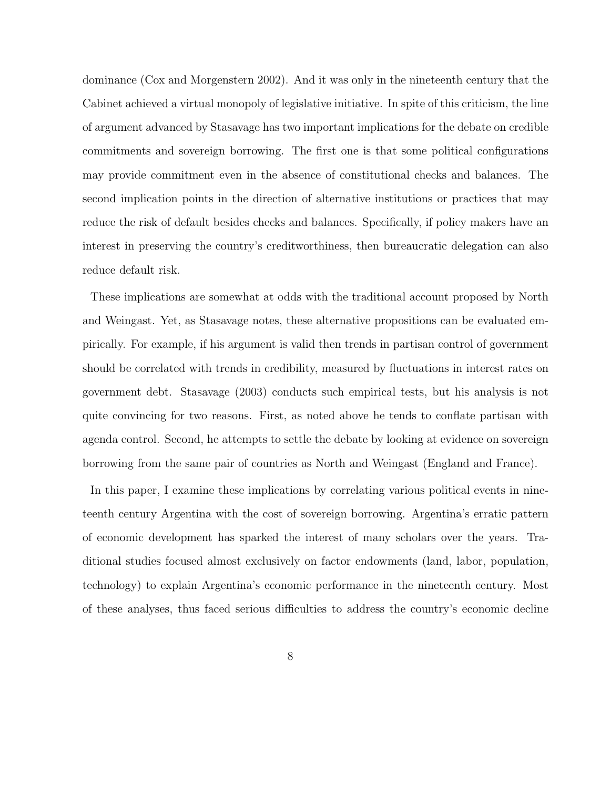dominance (Cox and Morgenstern 2002). And it was only in the nineteenth century that the Cabinet achieved a virtual monopoly of legislative initiative. In spite of this criticism, the line of argument advanced by Stasavage has two important implications for the debate on credible commitments and sovereign borrowing. The first one is that some political configurations may provide commitment even in the absence of constitutional checks and balances. The second implication points in the direction of alternative institutions or practices that may reduce the risk of default besides checks and balances. Specifically, if policy makers have an interest in preserving the country's creditworthiness, then bureaucratic delegation can also reduce default risk.

These implications are somewhat at odds with the traditional account proposed by North and Weingast. Yet, as Stasavage notes, these alternative propositions can be evaluated empirically. For example, if his argument is valid then trends in partisan control of government should be correlated with trends in credibility, measured by fluctuations in interest rates on government debt. Stasavage (2003) conducts such empirical tests, but his analysis is not quite convincing for two reasons. First, as noted above he tends to conflate partisan with agenda control. Second, he attempts to settle the debate by looking at evidence on sovereign borrowing from the same pair of countries as North and Weingast (England and France).

In this paper, I examine these implications by correlating various political events in nineteenth century Argentina with the cost of sovereign borrowing. Argentina's erratic pattern of economic development has sparked the interest of many scholars over the years. Traditional studies focused almost exclusively on factor endowments (land, labor, population, technology) to explain Argentina's economic performance in the nineteenth century. Most of these analyses, thus faced serious difficulties to address the country's economic decline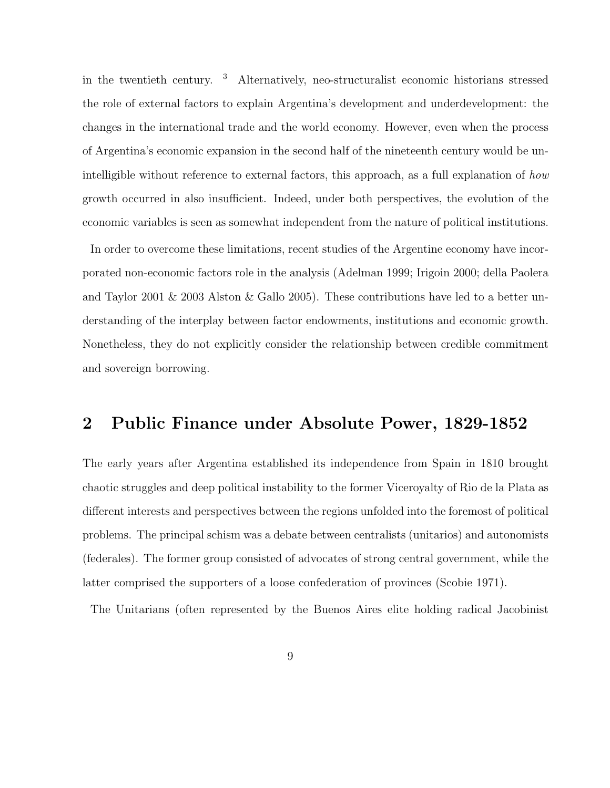in the twentieth century. <sup>3</sup> Alternatively, neo-structuralist economic historians stressed the role of external factors to explain Argentina's development and underdevelopment: the changes in the international trade and the world economy. However, even when the process of Argentina's economic expansion in the second half of the nineteenth century would be unintelligible without reference to external factors, this approach, as a full explanation of how growth occurred in also insufficient. Indeed, under both perspectives, the evolution of the economic variables is seen as somewhat independent from the nature of political institutions.

In order to overcome these limitations, recent studies of the Argentine economy have incorporated non-economic factors role in the analysis (Adelman 1999; Irigoin 2000; della Paolera and Taylor 2001 & 2003 Alston & Gallo 2005). These contributions have led to a better understanding of the interplay between factor endowments, institutions and economic growth. Nonetheless, they do not explicitly consider the relationship between credible commitment and sovereign borrowing.

### 2 Public Finance under Absolute Power, 1829-1852

The early years after Argentina established its independence from Spain in 1810 brought chaotic struggles and deep political instability to the former Viceroyalty of Rio de la Plata as different interests and perspectives between the regions unfolded into the foremost of political problems. The principal schism was a debate between centralists (unitarios) and autonomists (federales). The former group consisted of advocates of strong central government, while the latter comprised the supporters of a loose confederation of provinces (Scobie 1971).

The Unitarians (often represented by the Buenos Aires elite holding radical Jacobinist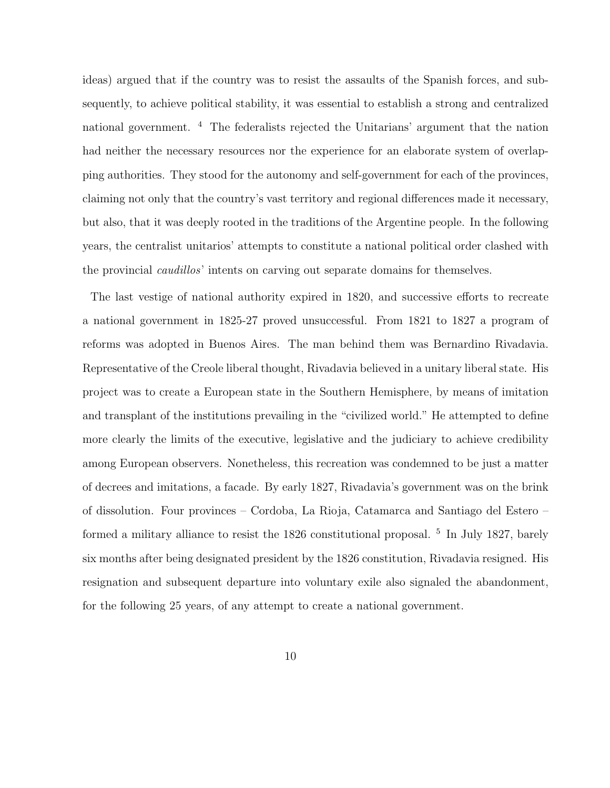ideas) argued that if the country was to resist the assaults of the Spanish forces, and subsequently, to achieve political stability, it was essential to establish a strong and centralized national government. <sup>4</sup> The federalists rejected the Unitarians' argument that the nation had neither the necessary resources nor the experience for an elaborate system of overlapping authorities. They stood for the autonomy and self-government for each of the provinces, claiming not only that the country's vast territory and regional differences made it necessary, but also, that it was deeply rooted in the traditions of the Argentine people. In the following years, the centralist unitarios' attempts to constitute a national political order clashed with the provincial *caudillos*' intents on carving out separate domains for themselves.

The last vestige of national authority expired in 1820, and successive efforts to recreate a national government in 1825-27 proved unsuccessful. From 1821 to 1827 a program of reforms was adopted in Buenos Aires. The man behind them was Bernardino Rivadavia. Representative of the Creole liberal thought, Rivadavia believed in a unitary liberal state. His project was to create a European state in the Southern Hemisphere, by means of imitation and transplant of the institutions prevailing in the "civilized world." He attempted to define more clearly the limits of the executive, legislative and the judiciary to achieve credibility among European observers. Nonetheless, this recreation was condemned to be just a matter of decrees and imitations, a facade. By early 1827, Rivadavia's government was on the brink of dissolution. Four provinces – Cordoba, La Rioja, Catamarca and Santiago del Estero – formed a military alliance to resist the 1826 constitutional proposal. <sup>5</sup> In July 1827, barely six months after being designated president by the 1826 constitution, Rivadavia resigned. His resignation and subsequent departure into voluntary exile also signaled the abandonment, for the following 25 years, of any attempt to create a national government.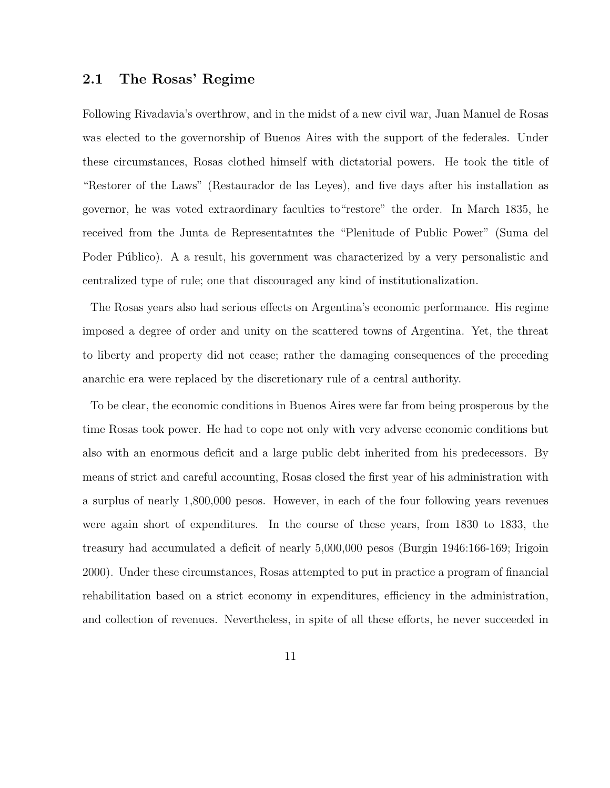### 2.1 The Rosas' Regime

Following Rivadavia's overthrow, and in the midst of a new civil war, Juan Manuel de Rosas was elected to the governorship of Buenos Aires with the support of the federales. Under these circumstances, Rosas clothed himself with dictatorial powers. He took the title of "Restorer of the Laws" (Restaurador de las Leyes), and five days after his installation as governor, he was voted extraordinary faculties to"restore" the order. In March 1835, he received from the Junta de Representatntes the "Plenitude of Public Power" (Suma del Poder Público). A a result, his government was characterized by a very personalistic and centralized type of rule; one that discouraged any kind of institutionalization.

The Rosas years also had serious effects on Argentina's economic performance. His regime imposed a degree of order and unity on the scattered towns of Argentina. Yet, the threat to liberty and property did not cease; rather the damaging consequences of the preceding anarchic era were replaced by the discretionary rule of a central authority.

To be clear, the economic conditions in Buenos Aires were far from being prosperous by the time Rosas took power. He had to cope not only with very adverse economic conditions but also with an enormous deficit and a large public debt inherited from his predecessors. By means of strict and careful accounting, Rosas closed the first year of his administration with a surplus of nearly 1,800,000 pesos. However, in each of the four following years revenues were again short of expenditures. In the course of these years, from 1830 to 1833, the treasury had accumulated a deficit of nearly 5,000,000 pesos (Burgin 1946:166-169; Irigoin 2000). Under these circumstances, Rosas attempted to put in practice a program of financial rehabilitation based on a strict economy in expenditures, efficiency in the administration, and collection of revenues. Nevertheless, in spite of all these efforts, he never succeeded in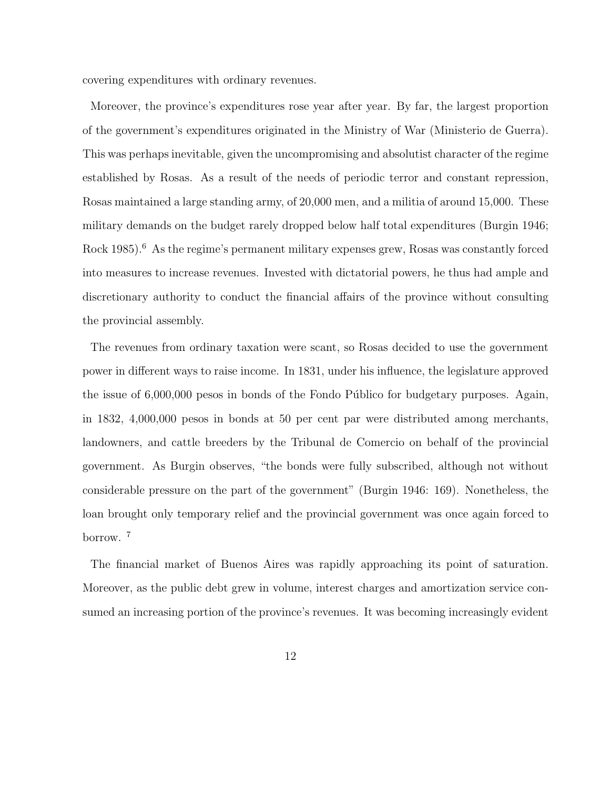covering expenditures with ordinary revenues.

Moreover, the province's expenditures rose year after year. By far, the largest proportion of the government's expenditures originated in the Ministry of War (Ministerio de Guerra). This was perhaps inevitable, given the uncompromising and absolutist character of the regime established by Rosas. As a result of the needs of periodic terror and constant repression, Rosas maintained a large standing army, of 20,000 men, and a militia of around 15,000. These military demands on the budget rarely dropped below half total expenditures (Burgin 1946; Rock 1985).<sup>6</sup> As the regime's permanent military expenses grew, Rosas was constantly forced into measures to increase revenues. Invested with dictatorial powers, he thus had ample and discretionary authority to conduct the financial affairs of the province without consulting the provincial assembly.

The revenues from ordinary taxation were scant, so Rosas decided to use the government power in different ways to raise income. In 1831, under his influence, the legislature approved the issue of  $6,000,000$  pesos in bonds of the Fondo Público for budgetary purposes. Again, in 1832, 4,000,000 pesos in bonds at 50 per cent par were distributed among merchants, landowners, and cattle breeders by the Tribunal de Comercio on behalf of the provincial government. As Burgin observes, "the bonds were fully subscribed, although not without considerable pressure on the part of the government" (Burgin 1946: 169). Nonetheless, the loan brought only temporary relief and the provincial government was once again forced to borrow. <sup>7</sup>

The financial market of Buenos Aires was rapidly approaching its point of saturation. Moreover, as the public debt grew in volume, interest charges and amortization service consumed an increasing portion of the province's revenues. It was becoming increasingly evident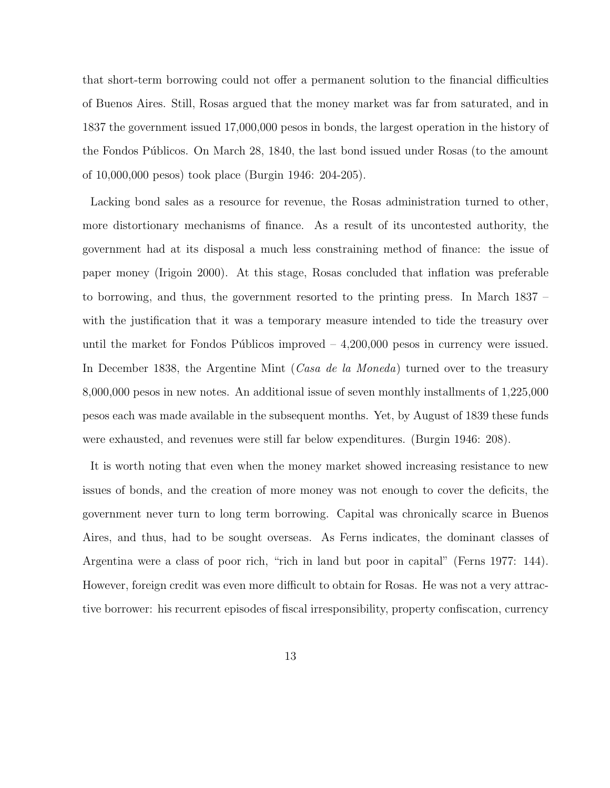that short-term borrowing could not offer a permanent solution to the financial difficulties of Buenos Aires. Still, Rosas argued that the money market was far from saturated, and in 1837 the government issued 17,000,000 pesos in bonds, the largest operation in the history of the Fondos Públicos. On March 28, 1840, the last bond issued under Rosas (to the amount of 10,000,000 pesos) took place (Burgin 1946: 204-205).

Lacking bond sales as a resource for revenue, the Rosas administration turned to other, more distortionary mechanisms of finance. As a result of its uncontested authority, the government had at its disposal a much less constraining method of finance: the issue of paper money (Irigoin 2000). At this stage, Rosas concluded that inflation was preferable to borrowing, and thus, the government resorted to the printing press. In March 1837 – with the justification that it was a temporary measure intended to tide the treasury over until the market for Fondos Públicos improved  $-4,200,000$  pesos in currency were issued. In December 1838, the Argentine Mint (*Casa de la Moneda*) turned over to the treasury 8,000,000 pesos in new notes. An additional issue of seven monthly installments of 1,225,000 pesos each was made available in the subsequent months. Yet, by August of 1839 these funds were exhausted, and revenues were still far below expenditures. (Burgin 1946: 208).

It is worth noting that even when the money market showed increasing resistance to new issues of bonds, and the creation of more money was not enough to cover the deficits, the government never turn to long term borrowing. Capital was chronically scarce in Buenos Aires, and thus, had to be sought overseas. As Ferns indicates, the dominant classes of Argentina were a class of poor rich, "rich in land but poor in capital" (Ferns 1977: 144). However, foreign credit was even more difficult to obtain for Rosas. He was not a very attractive borrower: his recurrent episodes of fiscal irresponsibility, property confiscation, currency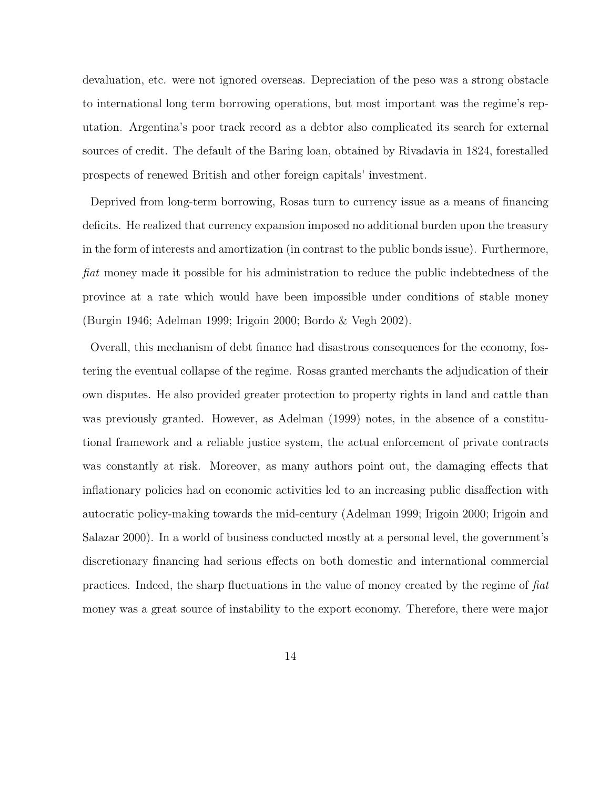devaluation, etc. were not ignored overseas. Depreciation of the peso was a strong obstacle to international long term borrowing operations, but most important was the regime's reputation. Argentina's poor track record as a debtor also complicated its search for external sources of credit. The default of the Baring loan, obtained by Rivadavia in 1824, forestalled prospects of renewed British and other foreign capitals' investment.

Deprived from long-term borrowing, Rosas turn to currency issue as a means of financing deficits. He realized that currency expansion imposed no additional burden upon the treasury in the form of interests and amortization (in contrast to the public bonds issue). Furthermore, fiat money made it possible for his administration to reduce the public indebtedness of the province at a rate which would have been impossible under conditions of stable money (Burgin 1946; Adelman 1999; Irigoin 2000; Bordo & Vegh 2002).

Overall, this mechanism of debt finance had disastrous consequences for the economy, fostering the eventual collapse of the regime. Rosas granted merchants the adjudication of their own disputes. He also provided greater protection to property rights in land and cattle than was previously granted. However, as Adelman (1999) notes, in the absence of a constitutional framework and a reliable justice system, the actual enforcement of private contracts was constantly at risk. Moreover, as many authors point out, the damaging effects that inflationary policies had on economic activities led to an increasing public disaffection with autocratic policy-making towards the mid-century (Adelman 1999; Irigoin 2000; Irigoin and Salazar 2000). In a world of business conducted mostly at a personal level, the government's discretionary financing had serious effects on both domestic and international commercial practices. Indeed, the sharp fluctuations in the value of money created by the regime of fiat money was a great source of instability to the export economy. Therefore, there were major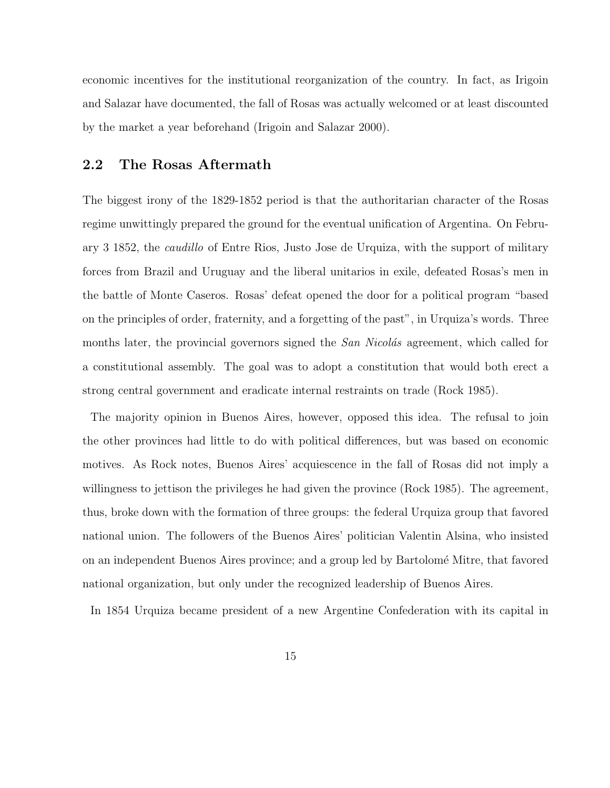economic incentives for the institutional reorganization of the country. In fact, as Irigoin and Salazar have documented, the fall of Rosas was actually welcomed or at least discounted by the market a year beforehand (Irigoin and Salazar 2000).

### 2.2 The Rosas Aftermath

The biggest irony of the 1829-1852 period is that the authoritarian character of the Rosas regime unwittingly prepared the ground for the eventual unification of Argentina. On February 3 1852, the caudillo of Entre Rios, Justo Jose de Urquiza, with the support of military forces from Brazil and Uruguay and the liberal unitarios in exile, defeated Rosas's men in the battle of Monte Caseros. Rosas' defeat opened the door for a political program "based on the principles of order, fraternity, and a forgetting of the past", in Urquiza's words. Three months later, the provincial governors signed the San Nicolás agreement, which called for a constitutional assembly. The goal was to adopt a constitution that would both erect a strong central government and eradicate internal restraints on trade (Rock 1985).

The majority opinion in Buenos Aires, however, opposed this idea. The refusal to join the other provinces had little to do with political differences, but was based on economic motives. As Rock notes, Buenos Aires' acquiescence in the fall of Rosas did not imply a willingness to jettison the privileges he had given the province (Rock 1985). The agreement, thus, broke down with the formation of three groups: the federal Urquiza group that favored national union. The followers of the Buenos Aires' politician Valentin Alsina, who insisted on an independent Buenos Aires province; and a group led by Bartolom´e Mitre, that favored national organization, but only under the recognized leadership of Buenos Aires.

In 1854 Urquiza became president of a new Argentine Confederation with its capital in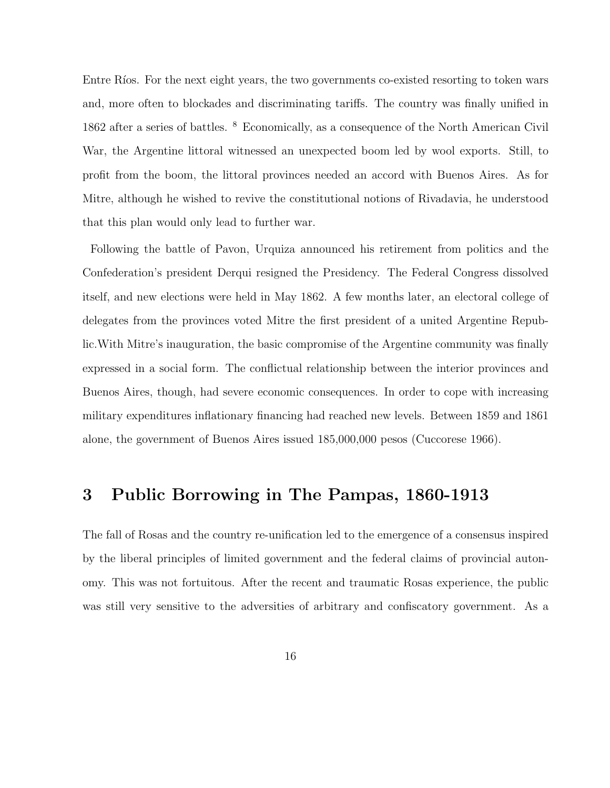Entre Ríos. For the next eight years, the two governments co-existed resorting to token wars and, more often to blockades and discriminating tariffs. The country was finally unified in 1862 after a series of battles. <sup>8</sup> Economically, as a consequence of the North American Civil War, the Argentine littoral witnessed an unexpected boom led by wool exports. Still, to profit from the boom, the littoral provinces needed an accord with Buenos Aires. As for Mitre, although he wished to revive the constitutional notions of Rivadavia, he understood that this plan would only lead to further war.

Following the battle of Pavon, Urquiza announced his retirement from politics and the Confederation's president Derqui resigned the Presidency. The Federal Congress dissolved itself, and new elections were held in May 1862. A few months later, an electoral college of delegates from the provinces voted Mitre the first president of a united Argentine Republic.With Mitre's inauguration, the basic compromise of the Argentine community was finally expressed in a social form. The conflictual relationship between the interior provinces and Buenos Aires, though, had severe economic consequences. In order to cope with increasing military expenditures inflationary financing had reached new levels. Between 1859 and 1861 alone, the government of Buenos Aires issued 185,000,000 pesos (Cuccorese 1966).

### 3 Public Borrowing in The Pampas, 1860-1913

The fall of Rosas and the country re-unification led to the emergence of a consensus inspired by the liberal principles of limited government and the federal claims of provincial autonomy. This was not fortuitous. After the recent and traumatic Rosas experience, the public was still very sensitive to the adversities of arbitrary and confiscatory government. As a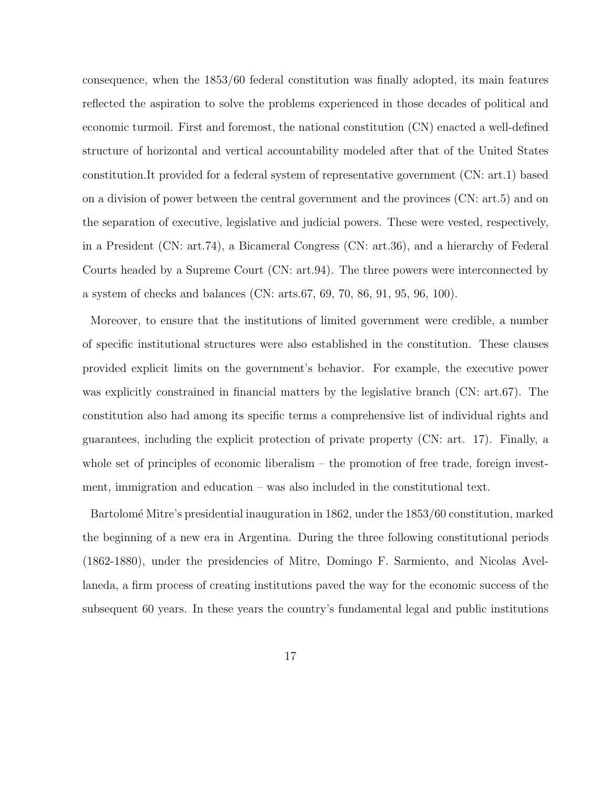consequence, when the 1853/60 federal constitution was finally adopted, its main features reflected the aspiration to solve the problems experienced in those decades of political and economic turmoil. First and foremost, the national constitution (CN) enacted a well-defined structure of horizontal and vertical accountability modeled after that of the United States constitution.It provided for a federal system of representative government (CN: art.1) based on a division of power between the central government and the provinces (CN: art.5) and on the separation of executive, legislative and judicial powers. These were vested, respectively, in a President (CN: art.74), a Bicameral Congress (CN: art.36), and a hierarchy of Federal Courts headed by a Supreme Court (CN: art.94). The three powers were interconnected by a system of checks and balances (CN: arts.67, 69, 70, 86, 91, 95, 96, 100).

Moreover, to ensure that the institutions of limited government were credible, a number of specific institutional structures were also established in the constitution. These clauses provided explicit limits on the government's behavior. For example, the executive power was explicitly constrained in financial matters by the legislative branch (CN: art.67). The constitution also had among its specific terms a comprehensive list of individual rights and guarantees, including the explicit protection of private property (CN: art. 17). Finally, a whole set of principles of economic liberalism – the promotion of free trade, foreign investment, immigration and education – was also included in the constitutional text.

Bartolomé Mitre's presidential inauguration in 1862, under the 1853/60 constitution, marked the beginning of a new era in Argentina. During the three following constitutional periods (1862-1880), under the presidencies of Mitre, Domingo F. Sarmiento, and Nicolas Avellaneda, a firm process of creating institutions paved the way for the economic success of the subsequent 60 years. In these years the country's fundamental legal and public institutions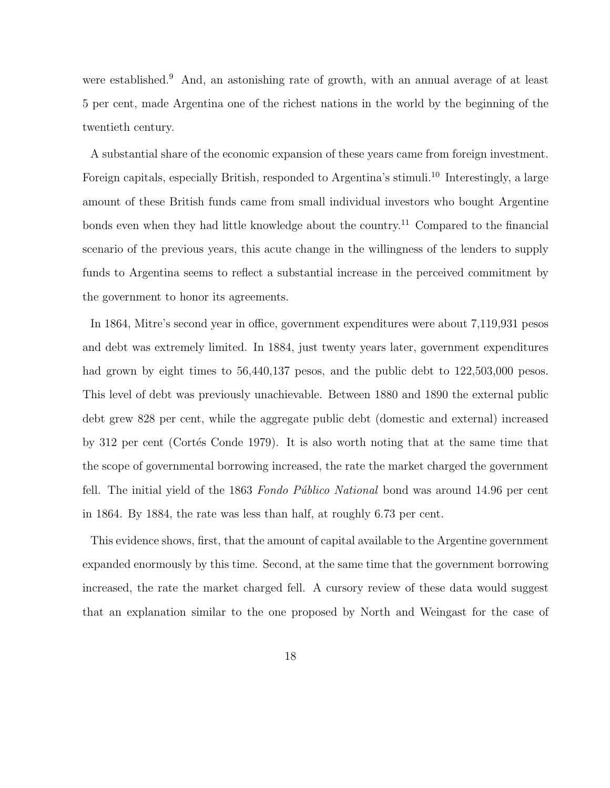were established.<sup>9</sup> And, an astonishing rate of growth, with an annual average of at least 5 per cent, made Argentina one of the richest nations in the world by the beginning of the twentieth century.

A substantial share of the economic expansion of these years came from foreign investment. Foreign capitals, especially British, responded to Argentina's stimuli.<sup>10</sup> Interestingly, a large amount of these British funds came from small individual investors who bought Argentine bonds even when they had little knowledge about the country.<sup>11</sup> Compared to the financial scenario of the previous years, this acute change in the willingness of the lenders to supply funds to Argentina seems to reflect a substantial increase in the perceived commitment by the government to honor its agreements.

In 1864, Mitre's second year in office, government expenditures were about 7,119,931 pesos and debt was extremely limited. In 1884, just twenty years later, government expenditures had grown by eight times to  $56,440,137$  pesos, and the public debt to  $122,503,000$  pesos. This level of debt was previously unachievable. Between 1880 and 1890 the external public debt grew 828 per cent, while the aggregate public debt (domestic and external) increased by 312 per cent (Cortés Conde 1979). It is also worth noting that at the same time that the scope of governmental borrowing increased, the rate the market charged the government fell. The initial yield of the 1863 Fondo Público National bond was around 14.96 per cent in 1864. By 1884, the rate was less than half, at roughly 6.73 per cent.

This evidence shows, first, that the amount of capital available to the Argentine government expanded enormously by this time. Second, at the same time that the government borrowing increased, the rate the market charged fell. A cursory review of these data would suggest that an explanation similar to the one proposed by North and Weingast for the case of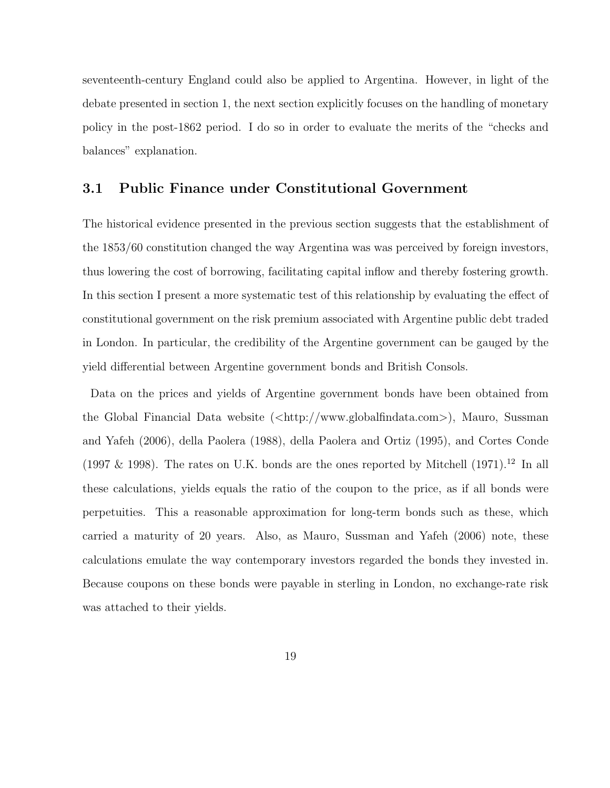seventeenth-century England could also be applied to Argentina. However, in light of the debate presented in section 1, the next section explicitly focuses on the handling of monetary policy in the post-1862 period. I do so in order to evaluate the merits of the "checks and balances" explanation.

#### 3.1 Public Finance under Constitutional Government

The historical evidence presented in the previous section suggests that the establishment of the 1853/60 constitution changed the way Argentina was was perceived by foreign investors, thus lowering the cost of borrowing, facilitating capital inflow and thereby fostering growth. In this section I present a more systematic test of this relationship by evaluating the effect of constitutional government on the risk premium associated with Argentine public debt traded in London. In particular, the credibility of the Argentine government can be gauged by the yield differential between Argentine government bonds and British Consols.

Data on the prices and yields of Argentine government bonds have been obtained from the Global Financial Data website  $\langle \text{chttp:} / \rangle$ www.globalfindata.com $\rangle$ ), Mauro, Sussman and Yafeh (2006), della Paolera (1988), della Paolera and Ortiz (1995), and Cortes Conde (1997 & 1998). The rates on U.K. bonds are the ones reported by Mitchell (1971).<sup>12</sup> In all these calculations, yields equals the ratio of the coupon to the price, as if all bonds were perpetuities. This a reasonable approximation for long-term bonds such as these, which carried a maturity of 20 years. Also, as Mauro, Sussman and Yafeh (2006) note, these calculations emulate the way contemporary investors regarded the bonds they invested in. Because coupons on these bonds were payable in sterling in London, no exchange-rate risk was attached to their yields.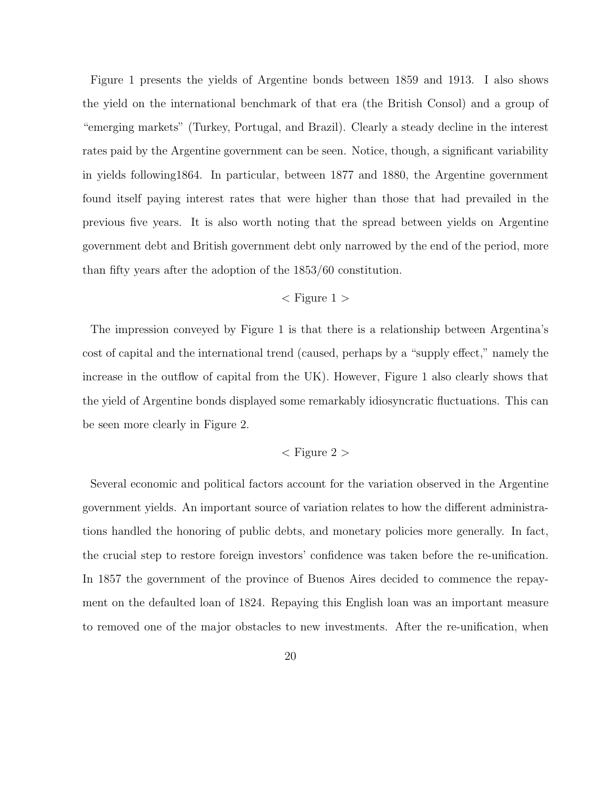Figure 1 presents the yields of Argentine bonds between 1859 and 1913. I also shows the yield on the international benchmark of that era (the British Consol) and a group of "emerging markets" (Turkey, Portugal, and Brazil). Clearly a steady decline in the interest rates paid by the Argentine government can be seen. Notice, though, a significant variability in yields following1864. In particular, between 1877 and 1880, the Argentine government found itself paying interest rates that were higher than those that had prevailed in the previous five years. It is also worth noting that the spread between yields on Argentine government debt and British government debt only narrowed by the end of the period, more than fifty years after the adoption of the 1853/60 constitution.

#### $\langle$  Figure 1  $\rangle$

The impression conveyed by Figure 1 is that there is a relationship between Argentina's cost of capital and the international trend (caused, perhaps by a "supply effect," namely the increase in the outflow of capital from the UK). However, Figure 1 also clearly shows that the yield of Argentine bonds displayed some remarkably idiosyncratic fluctuations. This can be seen more clearly in Figure 2.

#### $\langle$  Figure 2  $\rangle$

Several economic and political factors account for the variation observed in the Argentine government yields. An important source of variation relates to how the different administrations handled the honoring of public debts, and monetary policies more generally. In fact, the crucial step to restore foreign investors' confidence was taken before the re-unification. In 1857 the government of the province of Buenos Aires decided to commence the repayment on the defaulted loan of 1824. Repaying this English loan was an important measure to removed one of the major obstacles to new investments. After the re-unification, when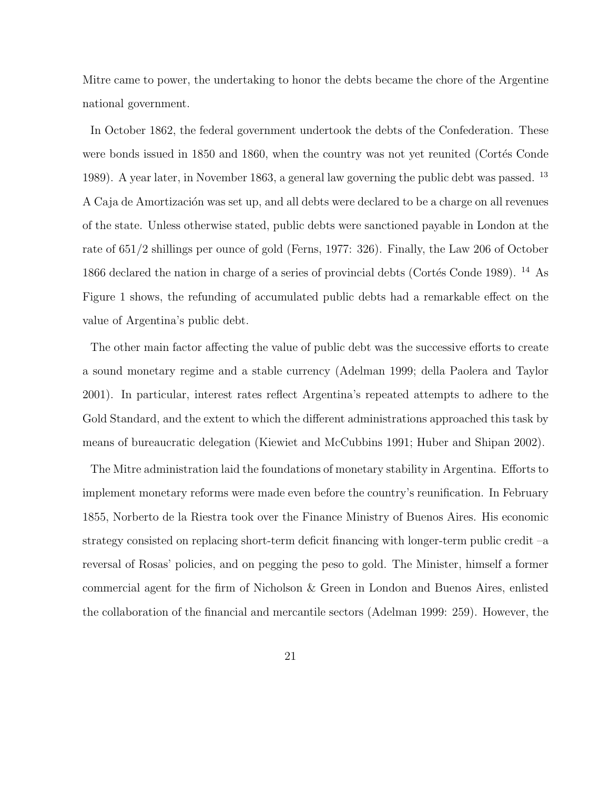Mitre came to power, the undertaking to honor the debts became the chore of the Argentine national government.

In October 1862, the federal government undertook the debts of the Confederation. These were bonds issued in 1850 and 1860, when the country was not yet reunited (Cortés Conde 1989). A year later, in November 1863, a general law governing the public debt was passed. <sup>13</sup> A Caja de Amortización was set up, and all debts were declared to be a charge on all revenues of the state. Unless otherwise stated, public debts were sanctioned payable in London at the rate of 651/2 shillings per ounce of gold (Ferns, 1977: 326). Finally, the Law 206 of October 1866 declared the nation in charge of a series of provincial debts (Cortés Conde 1989). <sup>14</sup> As Figure 1 shows, the refunding of accumulated public debts had a remarkable effect on the value of Argentina's public debt.

The other main factor affecting the value of public debt was the successive efforts to create a sound monetary regime and a stable currency (Adelman 1999; della Paolera and Taylor 2001). In particular, interest rates reflect Argentina's repeated attempts to adhere to the Gold Standard, and the extent to which the different administrations approached this task by means of bureaucratic delegation (Kiewiet and McCubbins 1991; Huber and Shipan 2002).

The Mitre administration laid the foundations of monetary stability in Argentina. Efforts to implement monetary reforms were made even before the country's reunification. In February 1855, Norberto de la Riestra took over the Finance Ministry of Buenos Aires. His economic strategy consisted on replacing short-term deficit financing with longer-term public credit –a reversal of Rosas' policies, and on pegging the peso to gold. The Minister, himself a former commercial agent for the firm of Nicholson & Green in London and Buenos Aires, enlisted the collaboration of the financial and mercantile sectors (Adelman 1999: 259). However, the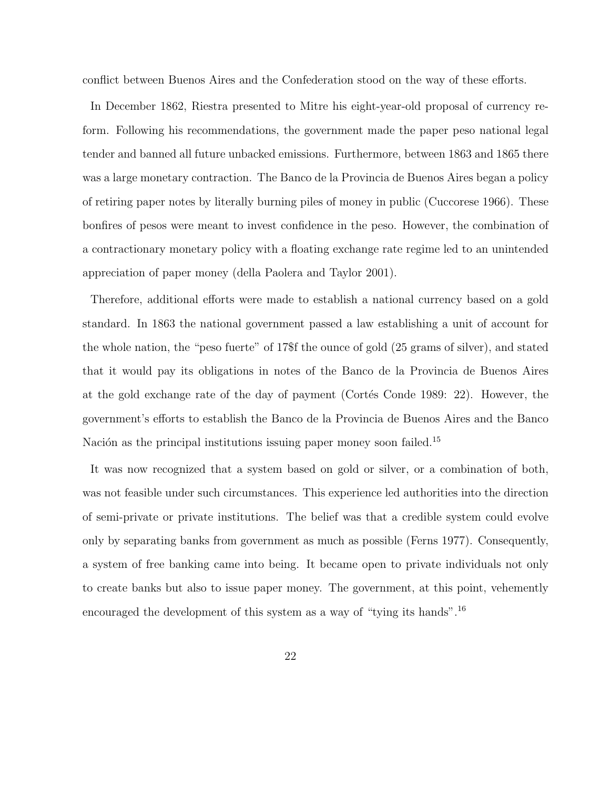conflict between Buenos Aires and the Confederation stood on the way of these efforts.

In December 1862, Riestra presented to Mitre his eight-year-old proposal of currency reform. Following his recommendations, the government made the paper peso national legal tender and banned all future unbacked emissions. Furthermore, between 1863 and 1865 there was a large monetary contraction. The Banco de la Provincia de Buenos Aires began a policy of retiring paper notes by literally burning piles of money in public (Cuccorese 1966). These bonfires of pesos were meant to invest confidence in the peso. However, the combination of a contractionary monetary policy with a floating exchange rate regime led to an unintended appreciation of paper money (della Paolera and Taylor 2001).

Therefore, additional efforts were made to establish a national currency based on a gold standard. In 1863 the national government passed a law establishing a unit of account for the whole nation, the "peso fuerte" of 17\$f the ounce of gold (25 grams of silver), and stated that it would pay its obligations in notes of the Banco de la Provincia de Buenos Aires at the gold exchange rate of the day of payment (Cortés Conde 1989: 22). However, the government's efforts to establish the Banco de la Provincia de Buenos Aires and the Banco Nación as the principal institutions issuing paper money soon failed.<sup>15</sup>

It was now recognized that a system based on gold or silver, or a combination of both, was not feasible under such circumstances. This experience led authorities into the direction of semi-private or private institutions. The belief was that a credible system could evolve only by separating banks from government as much as possible (Ferns 1977). Consequently, a system of free banking came into being. It became open to private individuals not only to create banks but also to issue paper money. The government, at this point, vehemently encouraged the development of this system as a way of "tying its hands".<sup>16</sup>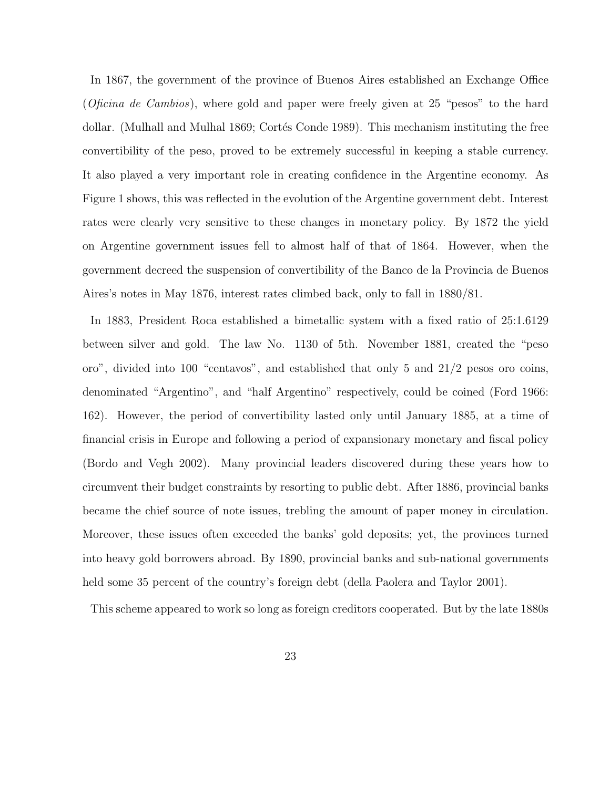In 1867, the government of the province of Buenos Aires established an Exchange Office (*Oficina de Cambios*), where gold and paper were freely given at 25 "pesos" to the hard dollar. (Mulhall and Mulhal 1869; Cortés Conde 1989). This mechanism instituting the free convertibility of the peso, proved to be extremely successful in keeping a stable currency. It also played a very important role in creating confidence in the Argentine economy. As Figure 1 shows, this was reflected in the evolution of the Argentine government debt. Interest rates were clearly very sensitive to these changes in monetary policy. By 1872 the yield on Argentine government issues fell to almost half of that of 1864. However, when the government decreed the suspension of convertibility of the Banco de la Provincia de Buenos Aires's notes in May 1876, interest rates climbed back, only to fall in 1880/81.

In 1883, President Roca established a bimetallic system with a fixed ratio of 25:1.6129 between silver and gold. The law No. 1130 of 5th. November 1881, created the "peso oro", divided into 100 "centavos", and established that only 5 and 21/2 pesos oro coins, denominated "Argentino", and "half Argentino" respectively, could be coined (Ford 1966: 162). However, the period of convertibility lasted only until January 1885, at a time of financial crisis in Europe and following a period of expansionary monetary and fiscal policy (Bordo and Vegh 2002). Many provincial leaders discovered during these years how to circumvent their budget constraints by resorting to public debt. After 1886, provincial banks became the chief source of note issues, trebling the amount of paper money in circulation. Moreover, these issues often exceeded the banks' gold deposits; yet, the provinces turned into heavy gold borrowers abroad. By 1890, provincial banks and sub-national governments held some 35 percent of the country's foreign debt (della Paolera and Taylor 2001).

This scheme appeared to work so long as foreign creditors cooperated. But by the late 1880s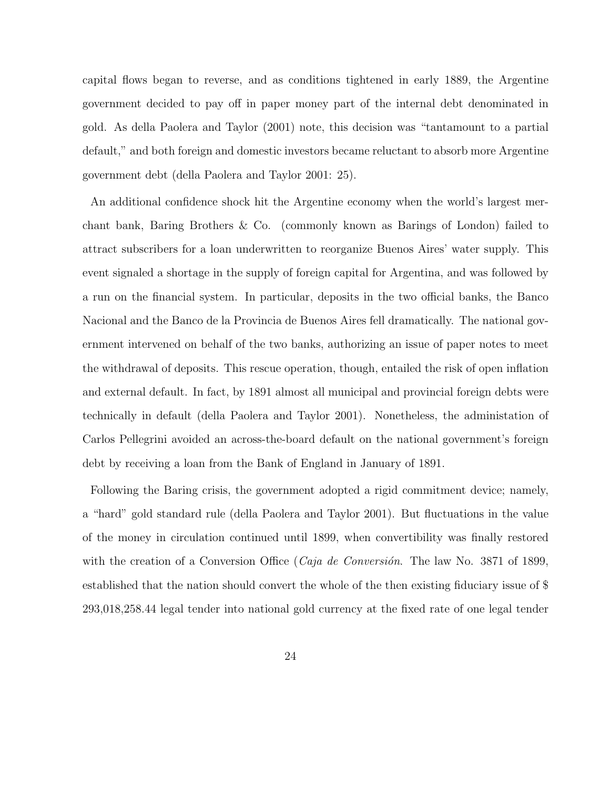capital flows began to reverse, and as conditions tightened in early 1889, the Argentine government decided to pay off in paper money part of the internal debt denominated in gold. As della Paolera and Taylor (2001) note, this decision was "tantamount to a partial default," and both foreign and domestic investors became reluctant to absorb more Argentine government debt (della Paolera and Taylor 2001: 25).

An additional confidence shock hit the Argentine economy when the world's largest merchant bank, Baring Brothers & Co. (commonly known as Barings of London) failed to attract subscribers for a loan underwritten to reorganize Buenos Aires' water supply. This event signaled a shortage in the supply of foreign capital for Argentina, and was followed by a run on the financial system. In particular, deposits in the two official banks, the Banco Nacional and the Banco de la Provincia de Buenos Aires fell dramatically. The national government intervened on behalf of the two banks, authorizing an issue of paper notes to meet the withdrawal of deposits. This rescue operation, though, entailed the risk of open inflation and external default. In fact, by 1891 almost all municipal and provincial foreign debts were technically in default (della Paolera and Taylor 2001). Nonetheless, the administation of Carlos Pellegrini avoided an across-the-board default on the national government's foreign debt by receiving a loan from the Bank of England in January of 1891.

Following the Baring crisis, the government adopted a rigid commitment device; namely, a "hard" gold standard rule (della Paolera and Taylor 2001). But fluctuations in the value of the money in circulation continued until 1899, when convertibility was finally restored with the creation of a Conversion Office (*Caja de Conversión*. The law No. 3871 of 1899, established that the nation should convert the whole of the then existing fiduciary issue of \$ 293,018,258.44 legal tender into national gold currency at the fixed rate of one legal tender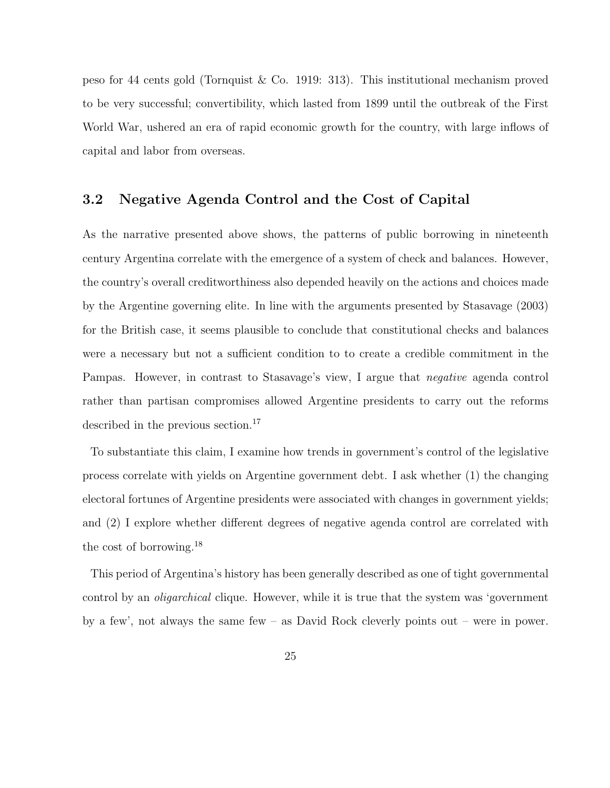peso for 44 cents gold (Tornquist & Co. 1919: 313). This institutional mechanism proved to be very successful; convertibility, which lasted from 1899 until the outbreak of the First World War, ushered an era of rapid economic growth for the country, with large inflows of capital and labor from overseas.

### 3.2 Negative Agenda Control and the Cost of Capital

As the narrative presented above shows, the patterns of public borrowing in nineteenth century Argentina correlate with the emergence of a system of check and balances. However, the country's overall creditworthiness also depended heavily on the actions and choices made by the Argentine governing elite. In line with the arguments presented by Stasavage (2003) for the British case, it seems plausible to conclude that constitutional checks and balances were a necessary but not a sufficient condition to to create a credible commitment in the Pampas. However, in contrast to Stasavage's view, I argue that negative agenda control rather than partisan compromises allowed Argentine presidents to carry out the reforms described in the previous section.<sup>17</sup>

To substantiate this claim, I examine how trends in government's control of the legislative process correlate with yields on Argentine government debt. I ask whether (1) the changing electoral fortunes of Argentine presidents were associated with changes in government yields; and (2) I explore whether different degrees of negative agenda control are correlated with the cost of borrowing.<sup>18</sup>

This period of Argentina's history has been generally described as one of tight governmental control by an *oligarchical* clique. However, while it is true that the system was 'government by a few', not always the same few – as David Rock cleverly points out – were in power.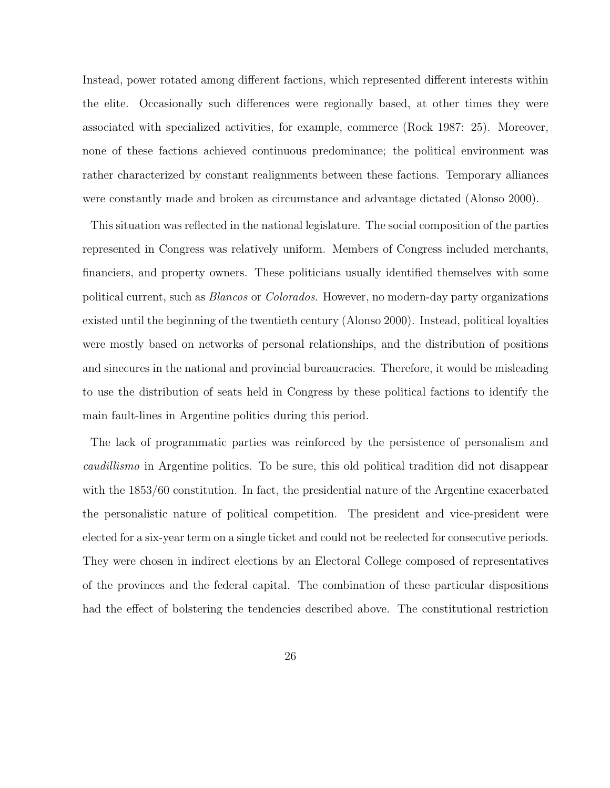Instead, power rotated among different factions, which represented different interests within the elite. Occasionally such differences were regionally based, at other times they were associated with specialized activities, for example, commerce (Rock 1987: 25). Moreover, none of these factions achieved continuous predominance; the political environment was rather characterized by constant realignments between these factions. Temporary alliances were constantly made and broken as circumstance and advantage dictated (Alonso 2000).

This situation was reflected in the national legislature. The social composition of the parties represented in Congress was relatively uniform. Members of Congress included merchants, financiers, and property owners. These politicians usually identified themselves with some political current, such as Blancos or Colorados. However, no modern-day party organizations existed until the beginning of the twentieth century (Alonso 2000). Instead, political loyalties were mostly based on networks of personal relationships, and the distribution of positions and sinecures in the national and provincial bureaucracies. Therefore, it would be misleading to use the distribution of seats held in Congress by these political factions to identify the main fault-lines in Argentine politics during this period.

The lack of programmatic parties was reinforced by the persistence of personalism and caudillismo in Argentine politics. To be sure, this old political tradition did not disappear with the 1853/60 constitution. In fact, the presidential nature of the Argentine exacerbated the personalistic nature of political competition. The president and vice-president were elected for a six-year term on a single ticket and could not be reelected for consecutive periods. They were chosen in indirect elections by an Electoral College composed of representatives of the provinces and the federal capital. The combination of these particular dispositions had the effect of bolstering the tendencies described above. The constitutional restriction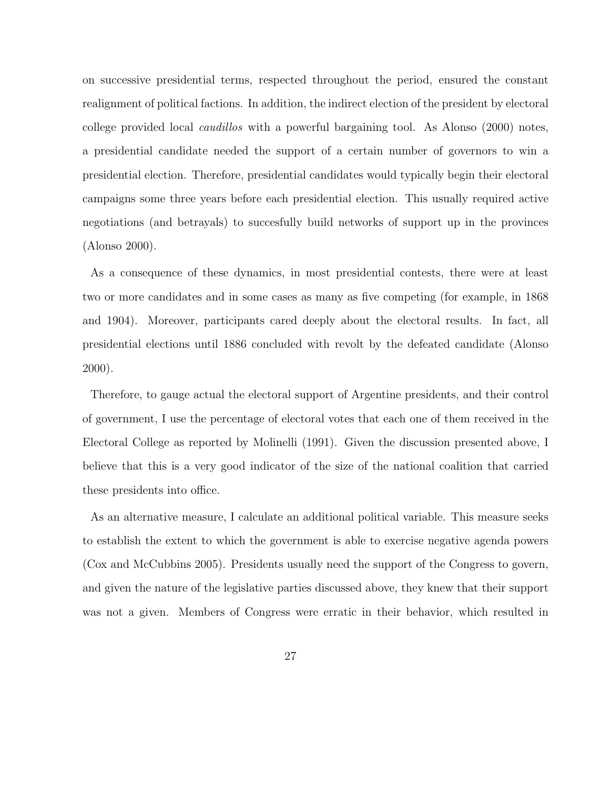on successive presidential terms, respected throughout the period, ensured the constant realignment of political factions. In addition, the indirect election of the president by electoral college provided local caudillos with a powerful bargaining tool. As Alonso (2000) notes, a presidential candidate needed the support of a certain number of governors to win a presidential election. Therefore, presidential candidates would typically begin their electoral campaigns some three years before each presidential election. This usually required active negotiations (and betrayals) to succesfully build networks of support up in the provinces (Alonso 2000).

As a consequence of these dynamics, in most presidential contests, there were at least two or more candidates and in some cases as many as five competing (for example, in 1868 and 1904). Moreover, participants cared deeply about the electoral results. In fact, all presidential elections until 1886 concluded with revolt by the defeated candidate (Alonso 2000).

Therefore, to gauge actual the electoral support of Argentine presidents, and their control of government, I use the percentage of electoral votes that each one of them received in the Electoral College as reported by Molinelli (1991). Given the discussion presented above, I believe that this is a very good indicator of the size of the national coalition that carried these presidents into office.

As an alternative measure, I calculate an additional political variable. This measure seeks to establish the extent to which the government is able to exercise negative agenda powers (Cox and McCubbins 2005). Presidents usually need the support of the Congress to govern, and given the nature of the legislative parties discussed above, they knew that their support was not a given. Members of Congress were erratic in their behavior, which resulted in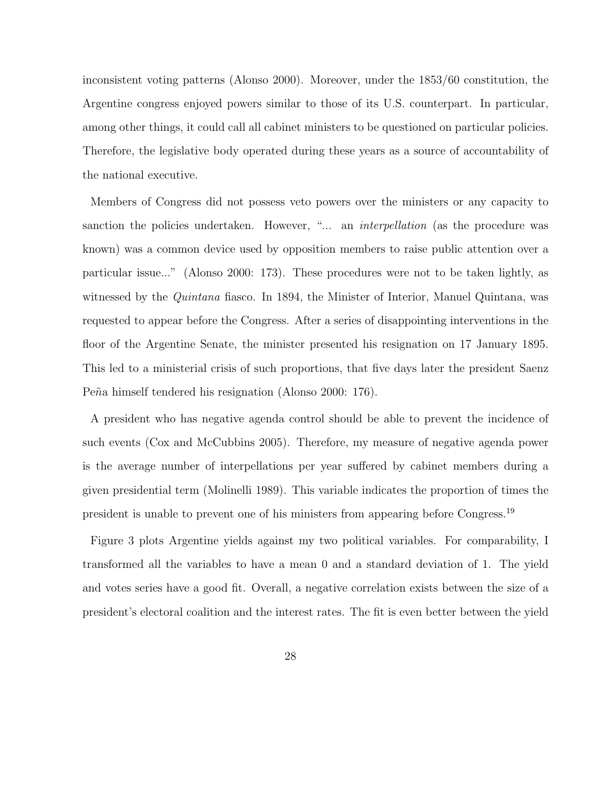inconsistent voting patterns (Alonso 2000). Moreover, under the 1853/60 constitution, the Argentine congress enjoyed powers similar to those of its U.S. counterpart. In particular, among other things, it could call all cabinet ministers to be questioned on particular policies. Therefore, the legislative body operated during these years as a source of accountability of the national executive.

Members of Congress did not possess veto powers over the ministers or any capacity to sanction the policies undertaken. However, "... an *interpellation* (as the procedure was known) was a common device used by opposition members to raise public attention over a particular issue..." (Alonso 2000: 173). These procedures were not to be taken lightly, as witnessed by the Quintana fiasco. In 1894, the Minister of Interior, Manuel Quintana, was requested to appear before the Congress. After a series of disappointing interventions in the floor of the Argentine Senate, the minister presented his resignation on 17 January 1895. This led to a ministerial crisis of such proportions, that five days later the president Saenz Peña himself tendered his resignation (Alonso 2000: 176).

A president who has negative agenda control should be able to prevent the incidence of such events (Cox and McCubbins 2005). Therefore, my measure of negative agenda power is the average number of interpellations per year suffered by cabinet members during a given presidential term (Molinelli 1989). This variable indicates the proportion of times the president is unable to prevent one of his ministers from appearing before Congress.<sup>19</sup>

Figure 3 plots Argentine yields against my two political variables. For comparability, I transformed all the variables to have a mean 0 and a standard deviation of 1. The yield and votes series have a good fit. Overall, a negative correlation exists between the size of a president's electoral coalition and the interest rates. The fit is even better between the yield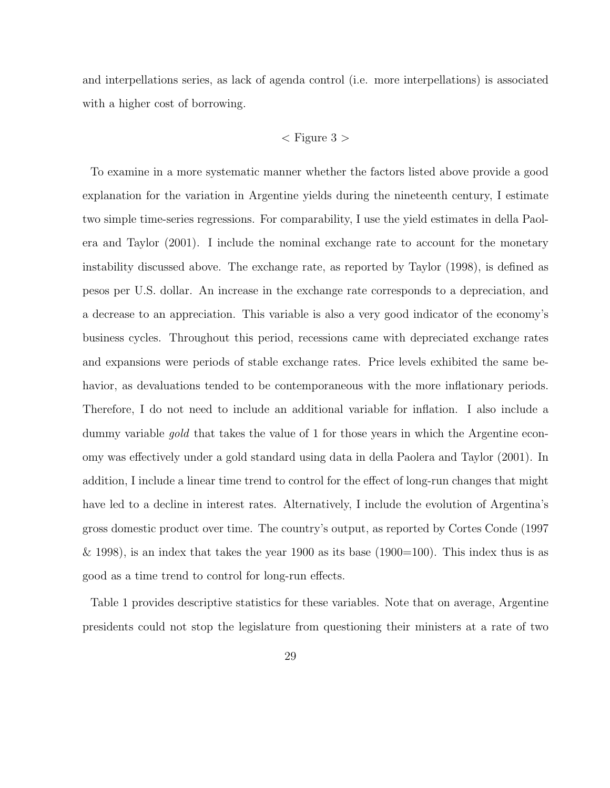and interpellations series, as lack of agenda control (i.e. more interpellations) is associated with a higher cost of borrowing.

### $\langle$  Figure 3  $\rangle$

To examine in a more systematic manner whether the factors listed above provide a good explanation for the variation in Argentine yields during the nineteenth century, I estimate two simple time-series regressions. For comparability, I use the yield estimates in della Paolera and Taylor (2001). I include the nominal exchange rate to account for the monetary instability discussed above. The exchange rate, as reported by Taylor (1998), is defined as pesos per U.S. dollar. An increase in the exchange rate corresponds to a depreciation, and a decrease to an appreciation. This variable is also a very good indicator of the economy's business cycles. Throughout this period, recessions came with depreciated exchange rates and expansions were periods of stable exchange rates. Price levels exhibited the same behavior, as devaluations tended to be contemporaneous with the more inflationary periods. Therefore, I do not need to include an additional variable for inflation. I also include a dummy variable gold that takes the value of 1 for those years in which the Argentine economy was effectively under a gold standard using data in della Paolera and Taylor (2001). In addition, I include a linear time trend to control for the effect of long-run changes that might have led to a decline in interest rates. Alternatively, I include the evolution of Argentina's gross domestic product over time. The country's output, as reported by Cortes Conde (1997 & 1998), is an index that takes the year 1900 as its base  $(1900=100)$ . This index thus is as good as a time trend to control for long-run effects.

Table 1 provides descriptive statistics for these variables. Note that on average, Argentine presidents could not stop the legislature from questioning their ministers at a rate of two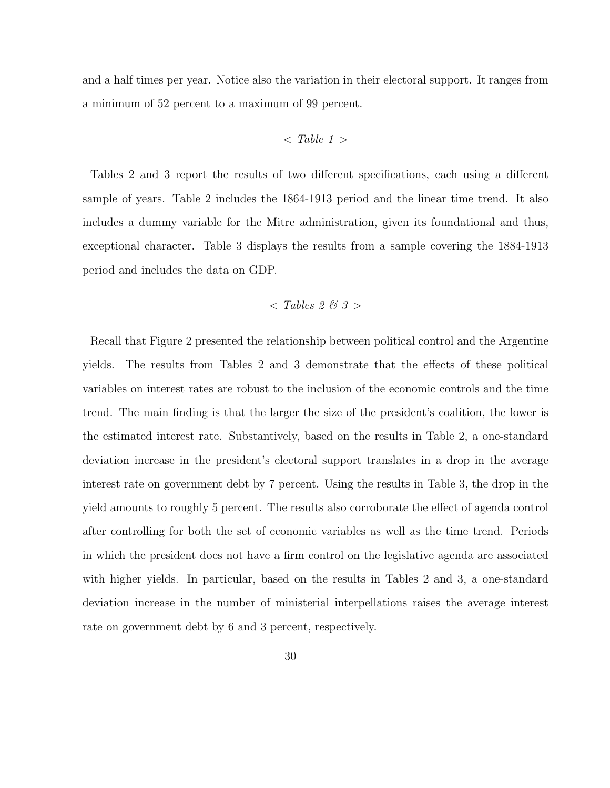and a half times per year. Notice also the variation in their electoral support. It ranges from a minimum of 52 percent to a maximum of 99 percent.

$$

$$

Tables 2 and 3 report the results of two different specifications, each using a different sample of years. Table 2 includes the 1864-1913 period and the linear time trend. It also includes a dummy variable for the Mitre administration, given its foundational and thus, exceptional character. Table 3 displays the results from a sample covering the 1884-1913 period and includes the data on GDP.

$$
<
$$
 Tables 2 & 3 >

Recall that Figure 2 presented the relationship between political control and the Argentine yields. The results from Tables 2 and 3 demonstrate that the effects of these political variables on interest rates are robust to the inclusion of the economic controls and the time trend. The main finding is that the larger the size of the president's coalition, the lower is the estimated interest rate. Substantively, based on the results in Table 2, a one-standard deviation increase in the president's electoral support translates in a drop in the average interest rate on government debt by 7 percent. Using the results in Table 3, the drop in the yield amounts to roughly 5 percent. The results also corroborate the effect of agenda control after controlling for both the set of economic variables as well as the time trend. Periods in which the president does not have a firm control on the legislative agenda are associated with higher yields. In particular, based on the results in Tables 2 and 3, a one-standard deviation increase in the number of ministerial interpellations raises the average interest rate on government debt by 6 and 3 percent, respectively.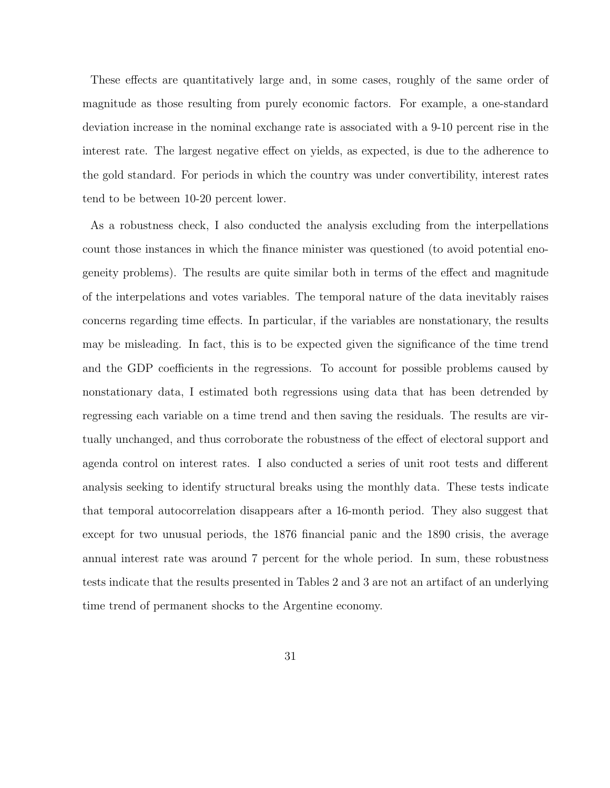These effects are quantitatively large and, in some cases, roughly of the same order of magnitude as those resulting from purely economic factors. For example, a one-standard deviation increase in the nominal exchange rate is associated with a 9-10 percent rise in the interest rate. The largest negative effect on yields, as expected, is due to the adherence to the gold standard. For periods in which the country was under convertibility, interest rates tend to be between 10-20 percent lower.

As a robustness check, I also conducted the analysis excluding from the interpellations count those instances in which the finance minister was questioned (to avoid potential enogeneity problems). The results are quite similar both in terms of the effect and magnitude of the interpelations and votes variables. The temporal nature of the data inevitably raises concerns regarding time effects. In particular, if the variables are nonstationary, the results may be misleading. In fact, this is to be expected given the significance of the time trend and the GDP coefficients in the regressions. To account for possible problems caused by nonstationary data, I estimated both regressions using data that has been detrended by regressing each variable on a time trend and then saving the residuals. The results are virtually unchanged, and thus corroborate the robustness of the effect of electoral support and agenda control on interest rates. I also conducted a series of unit root tests and different analysis seeking to identify structural breaks using the monthly data. These tests indicate that temporal autocorrelation disappears after a 16-month period. They also suggest that except for two unusual periods, the 1876 financial panic and the 1890 crisis, the average annual interest rate was around 7 percent for the whole period. In sum, these robustness tests indicate that the results presented in Tables 2 and 3 are not an artifact of an underlying time trend of permanent shocks to the Argentine economy.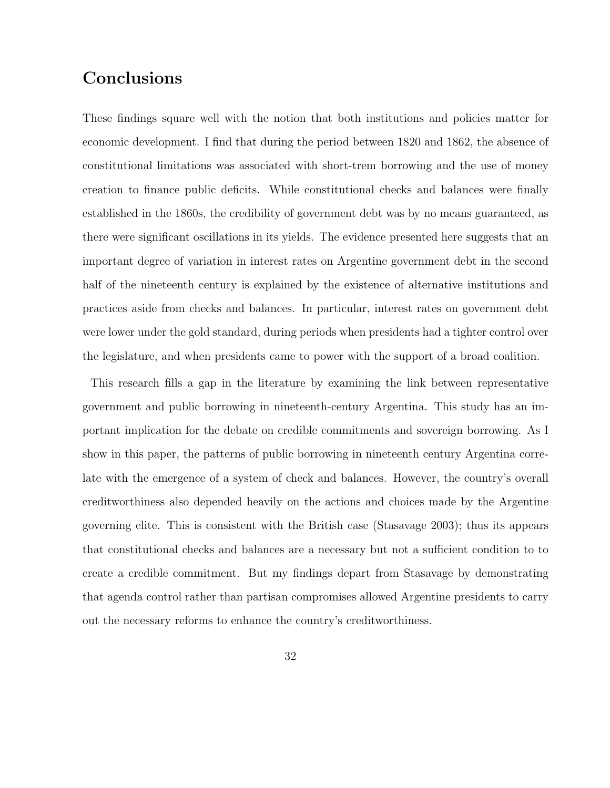# **Conclusions**

These findings square well with the notion that both institutions and policies matter for economic development. I find that during the period between 1820 and 1862, the absence of constitutional limitations was associated with short-trem borrowing and the use of money creation to finance public deficits. While constitutional checks and balances were finally established in the 1860s, the credibility of government debt was by no means guaranteed, as there were significant oscillations in its yields. The evidence presented here suggests that an important degree of variation in interest rates on Argentine government debt in the second half of the nineteenth century is explained by the existence of alternative institutions and practices aside from checks and balances. In particular, interest rates on government debt were lower under the gold standard, during periods when presidents had a tighter control over the legislature, and when presidents came to power with the support of a broad coalition.

This research fills a gap in the literature by examining the link between representative government and public borrowing in nineteenth-century Argentina. This study has an important implication for the debate on credible commitments and sovereign borrowing. As I show in this paper, the patterns of public borrowing in nineteenth century Argentina correlate with the emergence of a system of check and balances. However, the country's overall creditworthiness also depended heavily on the actions and choices made by the Argentine governing elite. This is consistent with the British case (Stasavage 2003); thus its appears that constitutional checks and balances are a necessary but not a sufficient condition to to create a credible commitment. But my findings depart from Stasavage by demonstrating that agenda control rather than partisan compromises allowed Argentine presidents to carry out the necessary reforms to enhance the country's creditworthiness.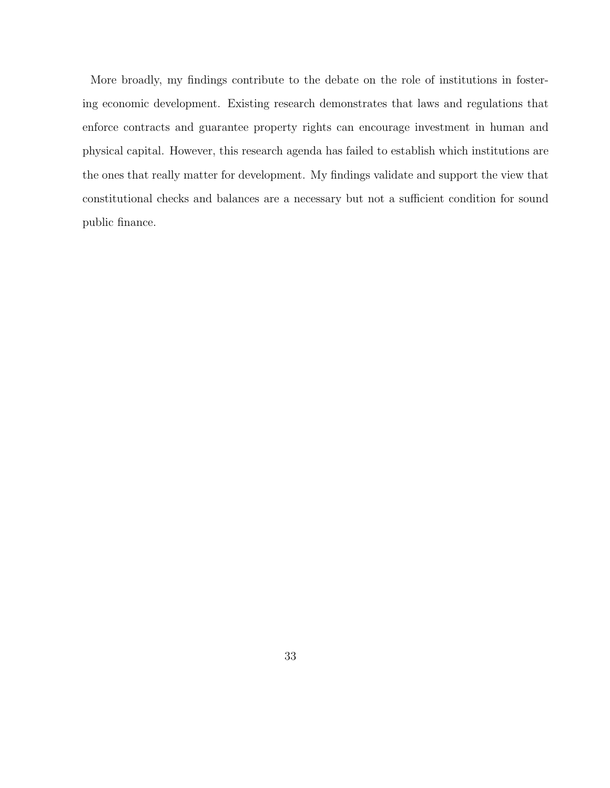More broadly, my findings contribute to the debate on the role of institutions in fostering economic development. Existing research demonstrates that laws and regulations that enforce contracts and guarantee property rights can encourage investment in human and physical capital. However, this research agenda has failed to establish which institutions are the ones that really matter for development. My findings validate and support the view that constitutional checks and balances are a necessary but not a sufficient condition for sound public finance.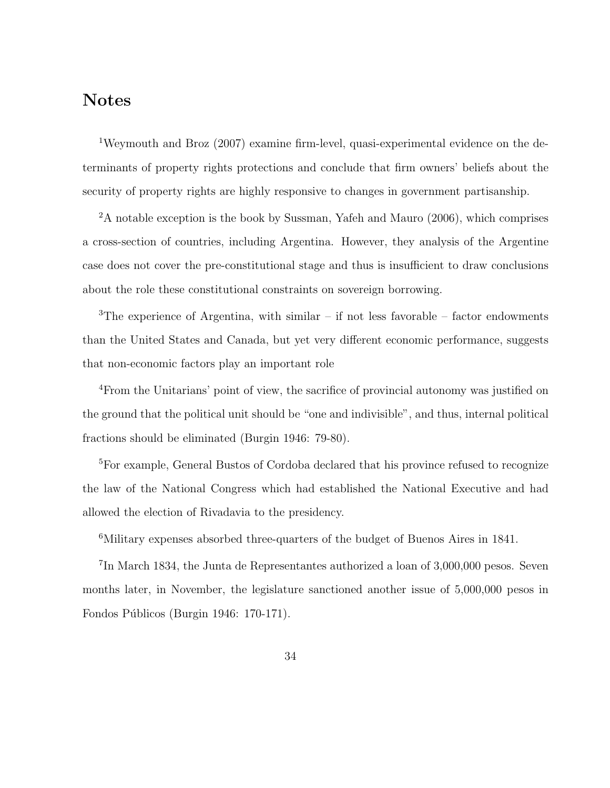### Notes

<sup>1</sup>Weymouth and Broz (2007) examine firm-level, quasi-experimental evidence on the determinants of property rights protections and conclude that firm owners' beliefs about the security of property rights are highly responsive to changes in government partisanship.

<sup>2</sup>A notable exception is the book by Sussman, Yafeh and Mauro (2006), which comprises a cross-section of countries, including Argentina. However, they analysis of the Argentine case does not cover the pre-constitutional stage and thus is insufficient to draw conclusions about the role these constitutional constraints on sovereign borrowing.

<sup>3</sup>The experience of Argentina, with similar – if not less favorable – factor endowments than the United States and Canada, but yet very different economic performance, suggests that non-economic factors play an important role

<sup>4</sup>From the Unitarians' point of view, the sacrifice of provincial autonomy was justified on the ground that the political unit should be "one and indivisible", and thus, internal political fractions should be eliminated (Burgin 1946: 79-80).

<sup>5</sup>For example, General Bustos of Cordoba declared that his province refused to recognize the law of the National Congress which had established the National Executive and had allowed the election of Rivadavia to the presidency.

<sup>6</sup>Military expenses absorbed three-quarters of the budget of Buenos Aires in 1841.

<sup>7</sup>In March 1834, the Junta de Representantes authorized a loan of 3,000,000 pesos. Seven months later, in November, the legislature sanctioned another issue of 5,000,000 pesos in Fondos Públicos (Burgin 1946: 170-171).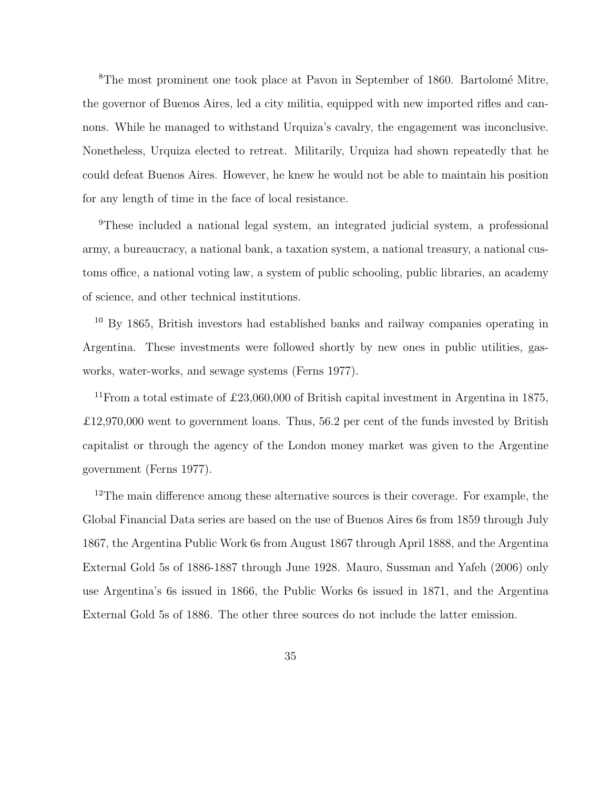<sup>8</sup>The most prominent one took place at Pavon in September of 1860. Bartolomé Mitre, the governor of Buenos Aires, led a city militia, equipped with new imported rifles and cannons. While he managed to withstand Urquiza's cavalry, the engagement was inconclusive. Nonetheless, Urquiza elected to retreat. Militarily, Urquiza had shown repeatedly that he could defeat Buenos Aires. However, he knew he would not be able to maintain his position for any length of time in the face of local resistance.

<sup>9</sup>These included a national legal system, an integrated judicial system, a professional army, a bureaucracy, a national bank, a taxation system, a national treasury, a national customs office, a national voting law, a system of public schooling, public libraries, an academy of science, and other technical institutions.

<sup>10</sup> By 1865, British investors had established banks and railway companies operating in Argentina. These investments were followed shortly by new ones in public utilities, gasworks, water-works, and sewage systems (Ferns 1977).

<sup>11</sup>From a total estimate of £23,060,000 of British capital investment in Argentina in 1875, £12,970,000 went to government loans. Thus, 56.2 per cent of the funds invested by British capitalist or through the agency of the London money market was given to the Argentine government (Ferns 1977).

<sup>12</sup>The main difference among these alternative sources is their coverage. For example, the Global Financial Data series are based on the use of Buenos Aires 6s from 1859 through July 1867, the Argentina Public Work 6s from August 1867 through April 1888, and the Argentina External Gold 5s of 1886-1887 through June 1928. Mauro, Sussman and Yafeh (2006) only use Argentina's 6s issued in 1866, the Public Works 6s issued in 1871, and the Argentina External Gold 5s of 1886. The other three sources do not include the latter emission.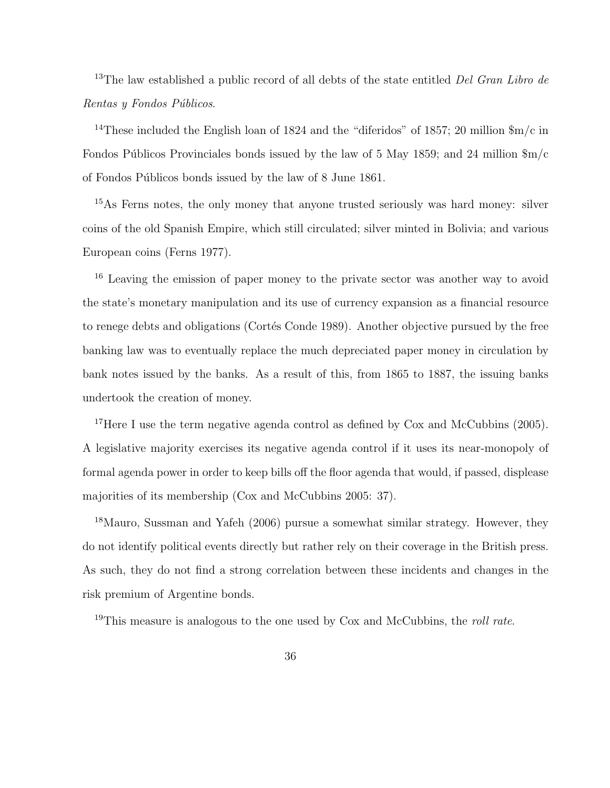<sup>13</sup>The law established a public record of all debts of the state entitled *Del Gran Libro de* Rentas y Fondos Públicos.

<sup>14</sup>These included the English loan of 1824 and the "diferidos" of 1857; 20 million  $m/c$  in Fondos Públicos Provinciales bonds issued by the law of 5 May 1859; and 24 million  $\Im m/c$ of Fondos Públicos bonds issued by the law of 8 June 1861.

<sup>15</sup>As Ferns notes, the only money that anyone trusted seriously was hard money: silver coins of the old Spanish Empire, which still circulated; silver minted in Bolivia; and various European coins (Ferns 1977).

<sup>16</sup> Leaving the emission of paper money to the private sector was another way to avoid the state's monetary manipulation and its use of currency expansion as a financial resource to renege debts and obligations (Cortés Conde 1989). Another objective pursued by the free banking law was to eventually replace the much depreciated paper money in circulation by bank notes issued by the banks. As a result of this, from 1865 to 1887, the issuing banks undertook the creation of money.

<sup>17</sup>Here I use the term negative agenda control as defined by Cox and McCubbins (2005). A legislative majority exercises its negative agenda control if it uses its near-monopoly of formal agenda power in order to keep bills off the floor agenda that would, if passed, displease majorities of its membership (Cox and McCubbins 2005: 37).

<sup>18</sup>Mauro, Sussman and Yafeh (2006) pursue a somewhat similar strategy. However, they do not identify political events directly but rather rely on their coverage in the British press. As such, they do not find a strong correlation between these incidents and changes in the risk premium of Argentine bonds.

<sup>19</sup>This measure is analogous to the one used by Cox and McCubbins, the *roll rate*.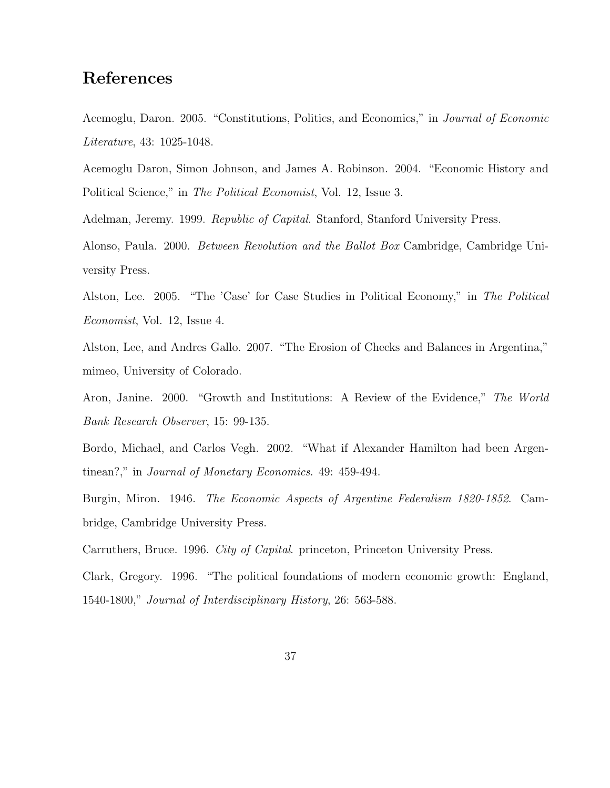## References

Acemoglu, Daron. 2005. "Constitutions, Politics, and Economics," in Journal of Economic Literature, 43: 1025-1048.

Acemoglu Daron, Simon Johnson, and James A. Robinson. 2004. "Economic History and Political Science," in The Political Economist, Vol. 12, Issue 3.

Adelman, Jeremy. 1999. Republic of Capital. Stanford, Stanford University Press.

Alonso, Paula. 2000. Between Revolution and the Ballot Box Cambridge, Cambridge University Press.

Alston, Lee. 2005. "The 'Case' for Case Studies in Political Economy," in The Political Economist, Vol. 12, Issue 4.

Alston, Lee, and Andres Gallo. 2007. "The Erosion of Checks and Balances in Argentina," mimeo, University of Colorado.

Aron, Janine. 2000. "Growth and Institutions: A Review of the Evidence," The World Bank Research Observer, 15: 99-135.

Bordo, Michael, and Carlos Vegh. 2002. "What if Alexander Hamilton had been Argentinean?," in Journal of Monetary Economics. 49: 459-494.

Burgin, Miron. 1946. The Economic Aspects of Argentine Federalism 1820-1852. Cambridge, Cambridge University Press.

Carruthers, Bruce. 1996. City of Capital. princeton, Princeton University Press.

Clark, Gregory. 1996. "The political foundations of modern economic growth: England, 1540-1800," Journal of Interdisciplinary History, 26: 563-588.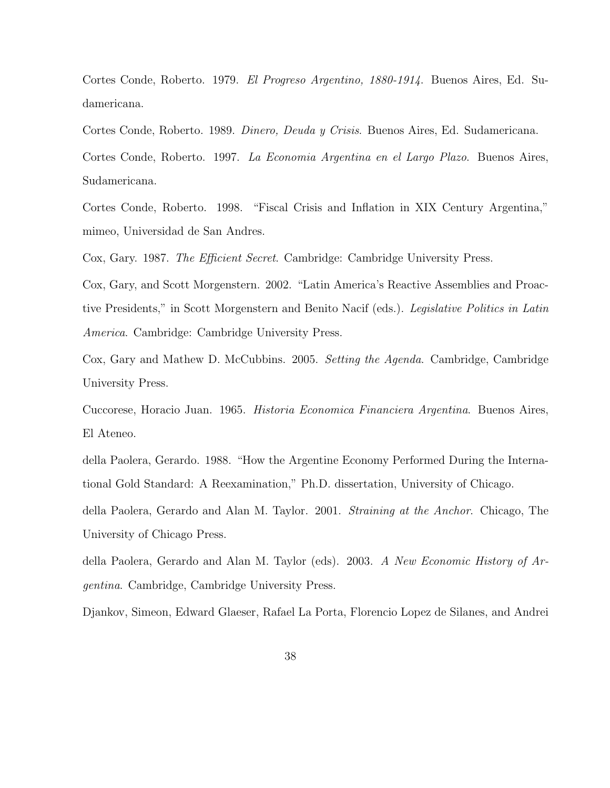Cortes Conde, Roberto. 1979. El Progreso Argentino, 1880-1914. Buenos Aires, Ed. Sudamericana.

Cortes Conde, Roberto. 1989. Dinero, Deuda y Crisis. Buenos Aires, Ed. Sudamericana. Cortes Conde, Roberto. 1997. La Economia Argentina en el Largo Plazo. Buenos Aires, Sudamericana.

Cortes Conde, Roberto. 1998. "Fiscal Crisis and Inflation in XIX Century Argentina," mimeo, Universidad de San Andres.

Cox, Gary. 1987. The Efficient Secret. Cambridge: Cambridge University Press.

Cox, Gary, and Scott Morgenstern. 2002. "Latin America's Reactive Assemblies and Proactive Presidents," in Scott Morgenstern and Benito Nacif (eds.). Legislative Politics in Latin America. Cambridge: Cambridge University Press.

Cox, Gary and Mathew D. McCubbins. 2005. Setting the Agenda. Cambridge, Cambridge University Press.

Cuccorese, Horacio Juan. 1965. Historia Economica Financiera Argentina. Buenos Aires, El Ateneo.

della Paolera, Gerardo. 1988. "How the Argentine Economy Performed During the International Gold Standard: A Reexamination," Ph.D. dissertation, University of Chicago.

della Paolera, Gerardo and Alan M. Taylor. 2001. Straining at the Anchor. Chicago, The University of Chicago Press.

della Paolera, Gerardo and Alan M. Taylor (eds). 2003. A New Economic History of Argentina. Cambridge, Cambridge University Press.

Djankov, Simeon, Edward Glaeser, Rafael La Porta, Florencio Lopez de Silanes, and Andrei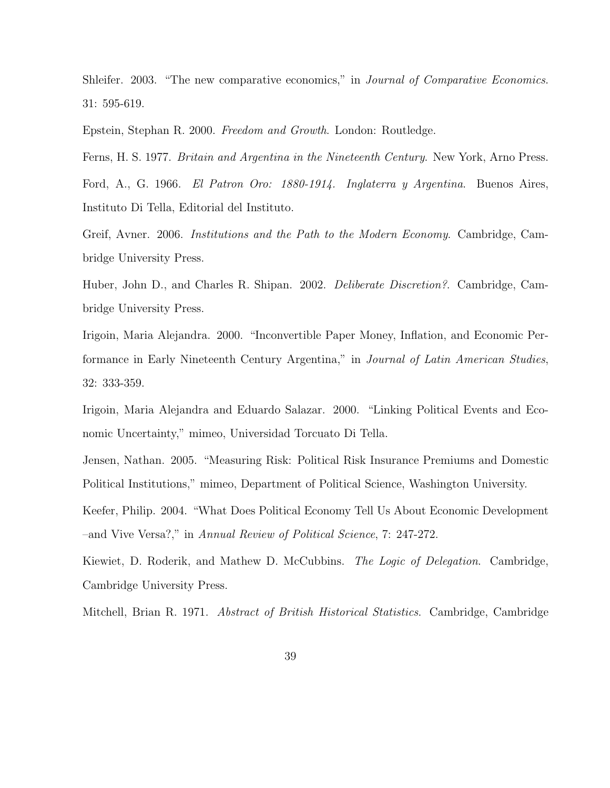Shleifer. 2003. "The new comparative economics," in Journal of Comparative Economics. 31: 595-619.

Epstein, Stephan R. 2000. Freedom and Growth. London: Routledge.

Ferns, H. S. 1977. Britain and Argentina in the Nineteenth Century. New York, Arno Press. Ford, A., G. 1966. El Patron Oro: 1880-1914. Inglaterra y Argentina. Buenos Aires, Instituto Di Tella, Editorial del Instituto.

Greif, Avner. 2006. Institutions and the Path to the Modern Economy. Cambridge, Cambridge University Press.

Huber, John D., and Charles R. Shipan. 2002. Deliberate Discretion?. Cambridge, Cambridge University Press.

Irigoin, Maria Alejandra. 2000. "Inconvertible Paper Money, Inflation, and Economic Performance in Early Nineteenth Century Argentina," in Journal of Latin American Studies, 32: 333-359.

Irigoin, Maria Alejandra and Eduardo Salazar. 2000. "Linking Political Events and Economic Uncertainty," mimeo, Universidad Torcuato Di Tella.

Jensen, Nathan. 2005. "Measuring Risk: Political Risk Insurance Premiums and Domestic Political Institutions," mimeo, Department of Political Science, Washington University.

Keefer, Philip. 2004. "What Does Political Economy Tell Us About Economic Development –and Vive Versa?," in Annual Review of Political Science, 7: 247-272.

Kiewiet, D. Roderik, and Mathew D. McCubbins. The Logic of Delegation. Cambridge, Cambridge University Press.

Mitchell, Brian R. 1971. *Abstract of British Historical Statistics*. Cambridge, Cambridge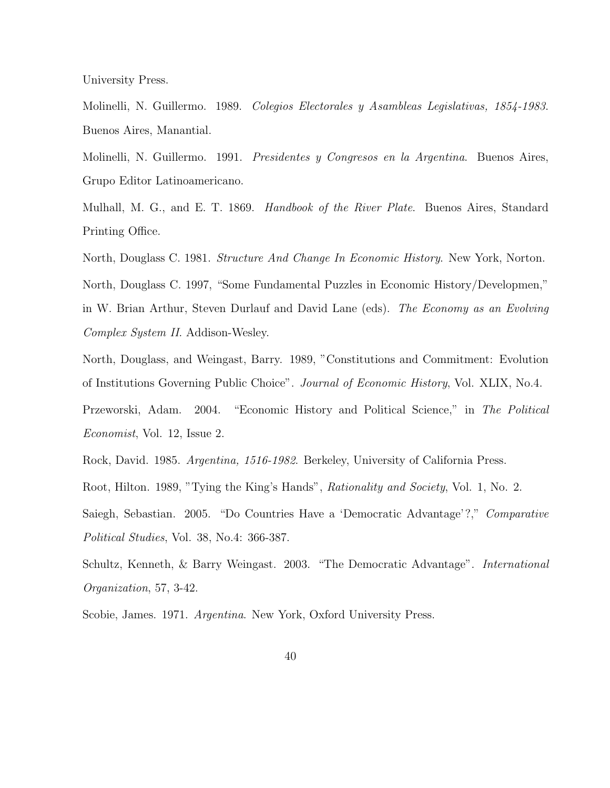University Press.

Molinelli, N. Guillermo. 1989. Colegios Electorales y Asambleas Legislativas, 1854-1983. Buenos Aires, Manantial.

Molinelli, N. Guillermo. 1991. Presidentes y Congresos en la Argentina. Buenos Aires, Grupo Editor Latinoamericano.

Mulhall, M. G., and E. T. 1869. *Handbook of the River Plate*. Buenos Aires, Standard Printing Office.

North, Douglass C. 1981. Structure And Change In Economic History. New York, Norton.

North, Douglass C. 1997, "Some Fundamental Puzzles in Economic History/Developmen,"

in W. Brian Arthur, Steven Durlauf and David Lane (eds). The Economy as an Evolving Complex System II. Addison-Wesley.

North, Douglass, and Weingast, Barry. 1989, "Constitutions and Commitment: Evolution of Institutions Governing Public Choice". Journal of Economic History, Vol. XLIX, No.4.

Przeworski, Adam. 2004. "Economic History and Political Science," in The Political Economist, Vol. 12, Issue 2.

Rock, David. 1985. Argentina, 1516-1982. Berkeley, University of California Press.

Root, Hilton. 1989, "Tying the King's Hands", Rationality and Society, Vol. 1, No. 2.

Saiegh, Sebastian. 2005. "Do Countries Have a 'Democratic Advantage'?," Comparative Political Studies, Vol. 38, No.4: 366-387.

Schultz, Kenneth, & Barry Weingast. 2003. "The Democratic Advantage". International Organization, 57, 3-42.

Scobie, James. 1971. *Argentina*. New York, Oxford University Press.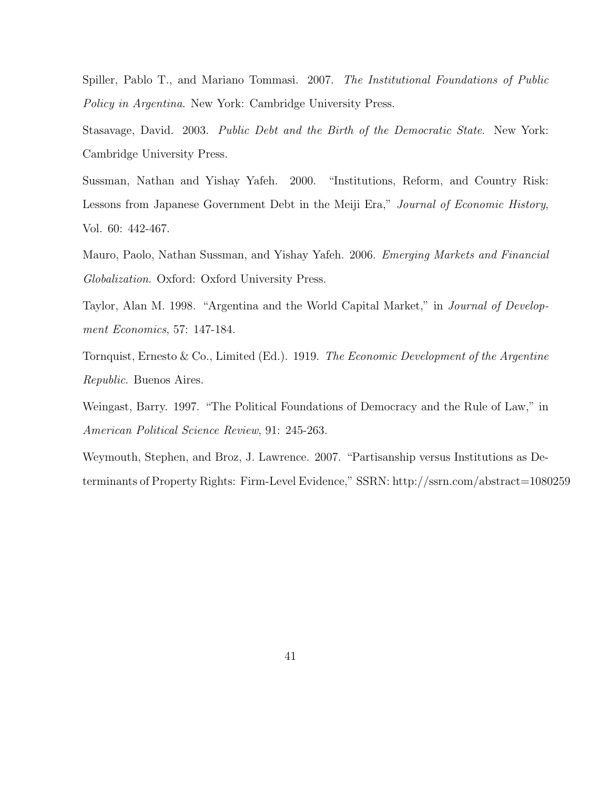Spiller, Pablo T., and Mariano Tommasi. 2007. The Institutional Foundations of Public Policy in Argentina. New York: Cambridge University Press.

Stasavage, David. 2003. Public Debt and the Birth of the Democratic State. New York: Cambridge University Press.

Sussman, Nathan and Yishay Yafeh. 2000. "Institutions, Reform, and Country Risk: Lessons from Japanese Government Debt in the Meiji Era," Journal of Economic History, Vol. 60: 442-467.

Mauro, Paolo, Nathan Sussman, and Yishay Yafeh. 2006. Emerging Markets and Financial Globalization. Oxford: Oxford University Press.

Taylor, Alan M. 1998. "Argentina and the World Capital Market," in Journal of Development Economics, 57: 147-184.

Tornquist, Ernesto & Co., Limited (Ed.). 1919. The Economic Development of the Argentine Republic. Buenos Aires.

Weingast, Barry. 1997. "The Political Foundations of Democracy and the Rule of Law," in American Political Science Review, 91: 245-263.

Weymouth, Stephen, and Broz, J. Lawrence. 2007. "Partisanship versus Institutions as Determinants of Property Rights: Firm-Level Evidence," SSRN: http://ssrn.com/abstract=1080259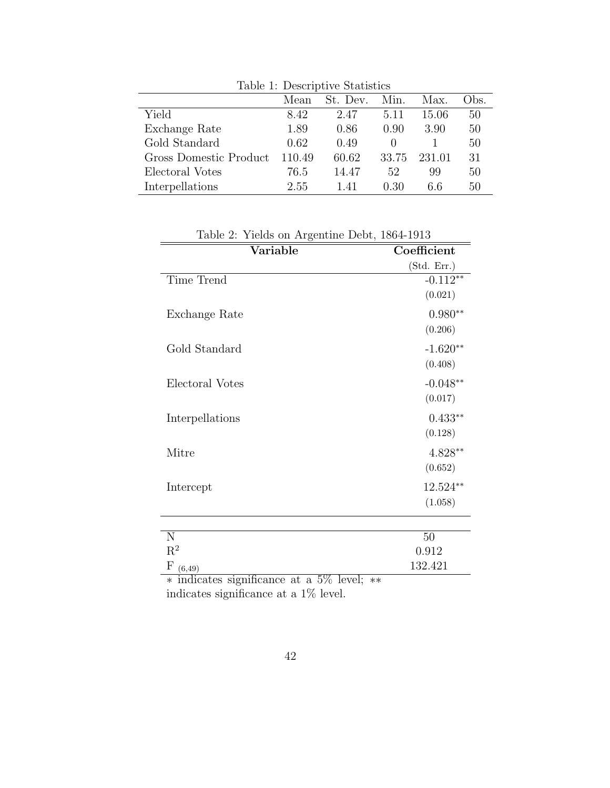| Table 1: Descriptive Statistics |        |          |        |        |      |  |
|---------------------------------|--------|----------|--------|--------|------|--|
|                                 | Mean   | St. Dev. | Min.   | Max.   | Obs. |  |
| Yield                           | 8.42   | 2.47     | 5.11   | 15.06  | 50   |  |
| Exchange Rate                   | 1.89   | 0.86     | 0.90   | 3.90   | 50   |  |
| Gold Standard                   | 0.62   | 0.49     | $\cup$ |        | 50   |  |
| Gross Domestic Product          | 110.49 | 60.62    | 33.75  | 231.01 | 31   |  |
| Electoral Votes                 | 76.5   | 14.47    | 52     | 99     | 50   |  |
| Interpellations                 | 2.55   | 1.41     | 0.30   | 6.6    | 50   |  |

Variable Coefficient (Std. Err.) Time Trend  $-0.112**$ (0.021) Exchange Rate  $0.980^{**}$ (0.206) Gold Standard -1.620∗∗ (0.408) Electoral Votes  $-0.048**$ (0.017) Interpellations 0.433∗∗ (0.128) Mitre 4.828∗∗ (0.652) Intercept 12.524∗∗ (1.058) N  $50$  $\mathbf{R}^2$  $0.912\,$  $F_{(6,49)}$  132.421

| Table 2: Yields on Argentine Debt, 1864-1913 |  |  |
|----------------------------------------------|--|--|
|----------------------------------------------|--|--|

∗ indicates significance at a 5% level; ∗∗ indicates significance at a 1% level.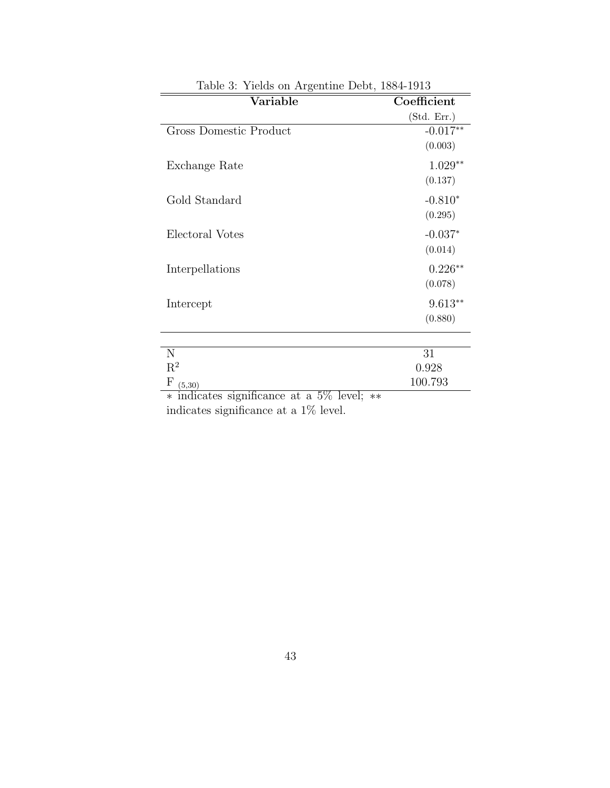| Table 3: Yields on Argentine Debt, 1884-1913         |             |  |  |  |
|------------------------------------------------------|-------------|--|--|--|
| Variable                                             | Coefficient |  |  |  |
|                                                      | (Std. Err.) |  |  |  |
| Gross Domestic Product                               | $-0.017**$  |  |  |  |
|                                                      | (0.003)     |  |  |  |
| Exchange Rate                                        | $1.029**$   |  |  |  |
|                                                      | (0.137)     |  |  |  |
| Gold Standard                                        | $-0.810*$   |  |  |  |
|                                                      | (0.295)     |  |  |  |
| Electoral Votes                                      | $-0.037*$   |  |  |  |
|                                                      | (0.014)     |  |  |  |
| Interpellations                                      | $0.226**$   |  |  |  |
|                                                      | (0.078)     |  |  |  |
| Intercept                                            | $9.613**$   |  |  |  |
|                                                      | (0.880)     |  |  |  |
|                                                      |             |  |  |  |
| N                                                    | 31          |  |  |  |
| $\mathbf{R}^2$                                       | 0.928       |  |  |  |
| $_{\rm F}$<br>(5,30)                                 | 100.793     |  |  |  |
| $\ast$ indicates significance at a 5% level;<br>$**$ |             |  |  |  |

indicates significance at a 1% level.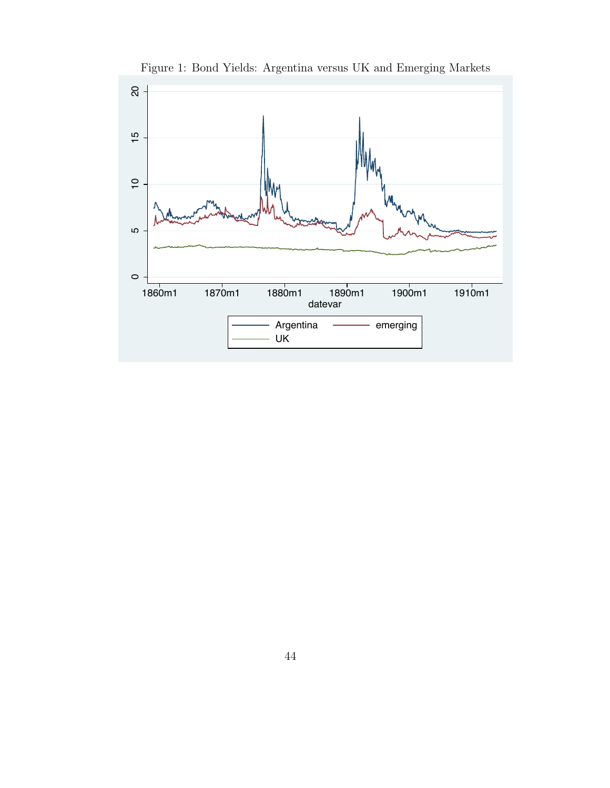

Figure 1: Bond Yields: Argentina versus UK and Emerging Markets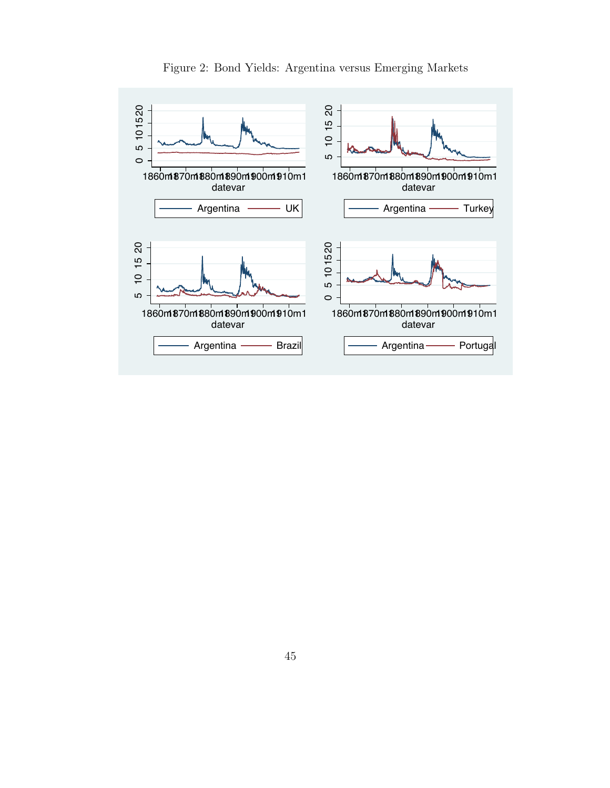

Figure 2: Bond Yields: Argentina versus Emerging Markets